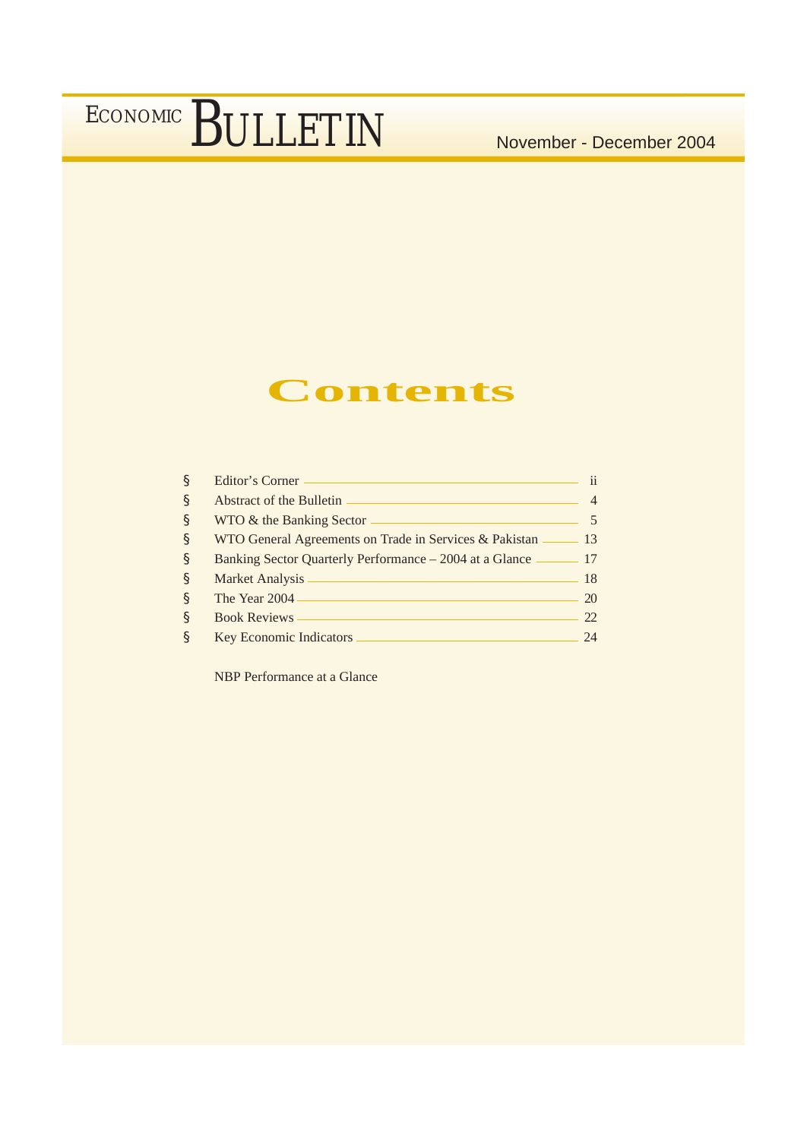### **Contents**

| $\S$ | Editor's Corner —                                            | ii |
|------|--------------------------------------------------------------|----|
| \$   | Abstract of the Bulletin                                     |    |
| $\S$ | WTO & the Banking Sector                                     |    |
| $\S$ | WTO General Agreements on Trade in Services & Pakistan —     | 13 |
| $\S$ | Banking Sector Quarterly Performance – 2004 at a Glance — 17 |    |
| $\S$ | Market Analysis                                              | 18 |
| \$   | The Year 2004 -                                              | 20 |
| \$   | <b>Book Reviews</b>                                          | 22 |
| $\S$ | <b>Key Economic Indicators</b>                               | 24 |

NBP Performance at a Glance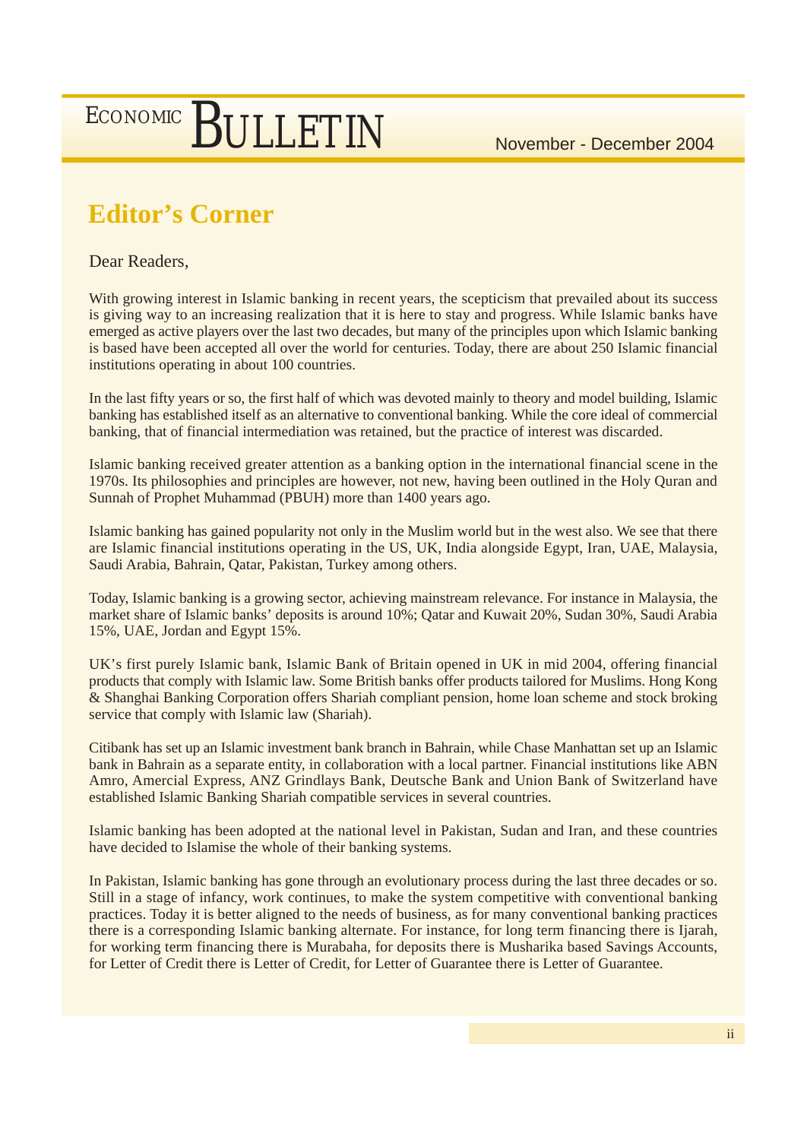### **Editor's Corner**

Dear Readers,

With growing interest in Islamic banking in recent years, the scepticism that prevailed about its success is giving way to an increasing realization that it is here to stay and progress. While Islamic banks have emerged as active players over the last two decades, but many of the principles upon which Islamic banking is based have been accepted all over the world for centuries. Today, there are about 250 Islamic financial institutions operating in about 100 countries.

In the last fifty years or so, the first half of which was devoted mainly to theory and model building, Islamic banking has established itself as an alternative to conventional banking. While the core ideal of commercial banking, that of financial intermediation was retained, but the practice of interest was discarded.

Islamic banking received greater attention as a banking option in the international financial scene in the 1970s. Its philosophies and principles are however, not new, having been outlined in the Holy Quran and Sunnah of Prophet Muhammad (PBUH) more than 1400 years ago.

Islamic banking has gained popularity not only in the Muslim world but in the west also. We see that there are Islamic financial institutions operating in the US, UK, India alongside Egypt, Iran, UAE, Malaysia, Saudi Arabia, Bahrain, Qatar, Pakistan, Turkey among others.

Today, Islamic banking is a growing sector, achieving mainstream relevance. For instance in Malaysia, the market share of Islamic banks' deposits is around 10%; Qatar and Kuwait 20%, Sudan 30%, Saudi Arabia 15%, UAE, Jordan and Egypt 15%.

UK's first purely Islamic bank, Islamic Bank of Britain opened in UK in mid 2004, offering financial products that comply with Islamic law. Some British banks offer products tailored for Muslims. Hong Kong & Shanghai Banking Corporation offers Shariah compliant pension, home loan scheme and stock broking service that comply with Islamic law (Shariah).

Citibank has set up an Islamic investment bank branch in Bahrain, while Chase Manhattan set up an Islamic bank in Bahrain as a separate entity, in collaboration with a local partner. Financial institutions like ABN Amro, Amercial Express, ANZ Grindlays Bank, Deutsche Bank and Union Bank of Switzerland have established Islamic Banking Shariah compatible services in several countries.

Islamic banking has been adopted at the national level in Pakistan, Sudan and Iran, and these countries have decided to Islamise the whole of their banking systems.

In Pakistan, Islamic banking has gone through an evolutionary process during the last three decades or so. Still in a stage of infancy, work continues, to make the system competitive with conventional banking practices. Today it is better aligned to the needs of business, as for many conventional banking practices there is a corresponding Islamic banking alternate. For instance, for long term financing there is Ijarah, for working term financing there is Murabaha, for deposits there is Musharika based Savings Accounts, for Letter of Credit there is Letter of Credit, for Letter of Guarantee there is Letter of Guarantee.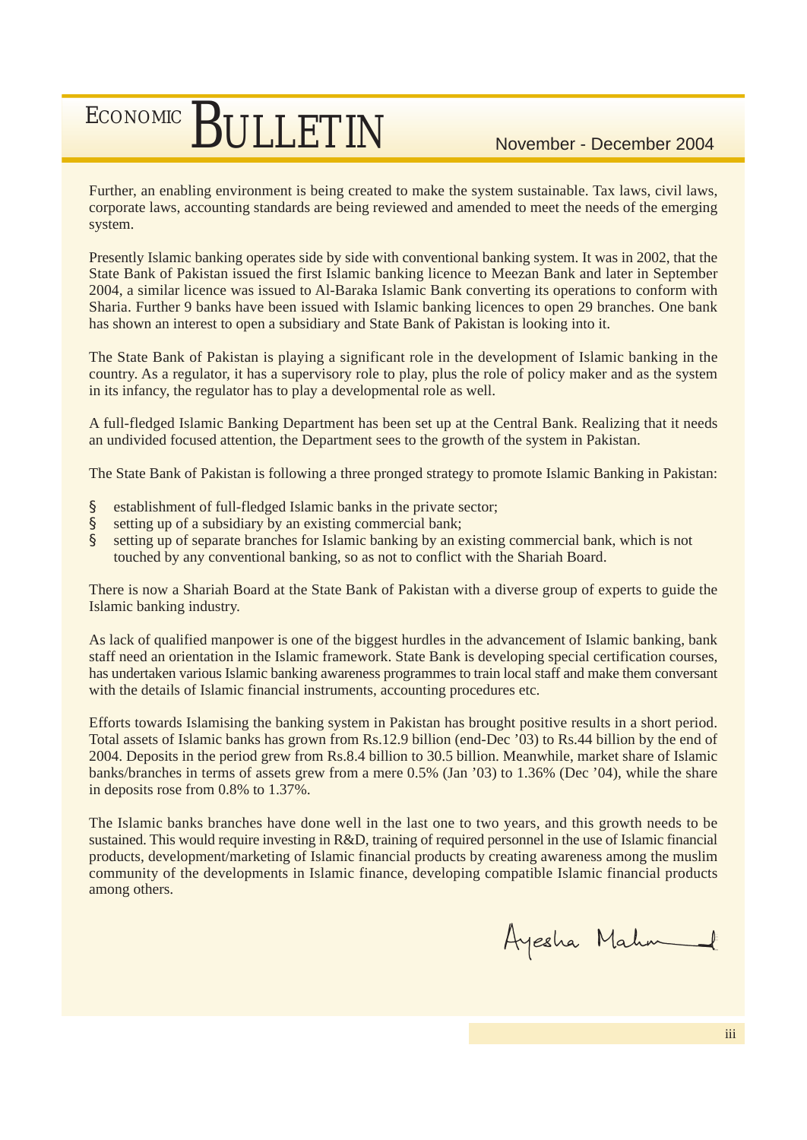Further, an enabling environment is being created to make the system sustainable. Tax laws, civil laws, corporate laws, accounting standards are being reviewed and amended to meet the needs of the emerging system.

Presently Islamic banking operates side by side with conventional banking system. It was in 2002, that the State Bank of Pakistan issued the first Islamic banking licence to Meezan Bank and later in September 2004, a similar licence was issued to Al-Baraka Islamic Bank converting its operations to conform with Sharia. Further 9 banks have been issued with Islamic banking licences to open 29 branches. One bank has shown an interest to open a subsidiary and State Bank of Pakistan is looking into it.

The State Bank of Pakistan is playing a significant role in the development of Islamic banking in the country. As a regulator, it has a supervisory role to play, plus the role of policy maker and as the system in its infancy, the regulator has to play a developmental role as well.

A full-fledged Islamic Banking Department has been set up at the Central Bank. Realizing that it needs an undivided focused attention, the Department sees to the growth of the system in Pakistan.

The State Bank of Pakistan is following a three pronged strategy to promote Islamic Banking in Pakistan:

- § establishment of full-fledged Islamic banks in the private sector;
- § setting up of a subsidiary by an existing commercial bank;
- § setting up of separate branches for Islamic banking by an existing commercial bank, which is not touched by any conventional banking, so as not to conflict with the Shariah Board.

There is now a Shariah Board at the State Bank of Pakistan with a diverse group of experts to guide the Islamic banking industry.

As lack of qualified manpower is one of the biggest hurdles in the advancement of Islamic banking, bank staff need an orientation in the Islamic framework. State Bank is developing special certification courses, has undertaken various Islamic banking awareness programmes to train local staff and make them conversant with the details of Islamic financial instruments, accounting procedures etc.

Efforts towards Islamising the banking system in Pakistan has brought positive results in a short period. Total assets of Islamic banks has grown from Rs.12.9 billion (end-Dec '03) to Rs.44 billion by the end of 2004. Deposits in the period grew from Rs.8.4 billion to 30.5 billion. Meanwhile, market share of Islamic banks/branches in terms of assets grew from a mere 0.5% (Jan '03) to 1.36% (Dec '04), while the share in deposits rose from 0.8% to 1.37%.

The Islamic banks branches have done well in the last one to two years, and this growth needs to be sustained. This would require investing in R&D, training of required personnel in the use of Islamic financial products, development/marketing of Islamic financial products by creating awareness among the muslim community of the developments in Islamic finance, developing compatible Islamic financial products among others.

Ayesha Mahm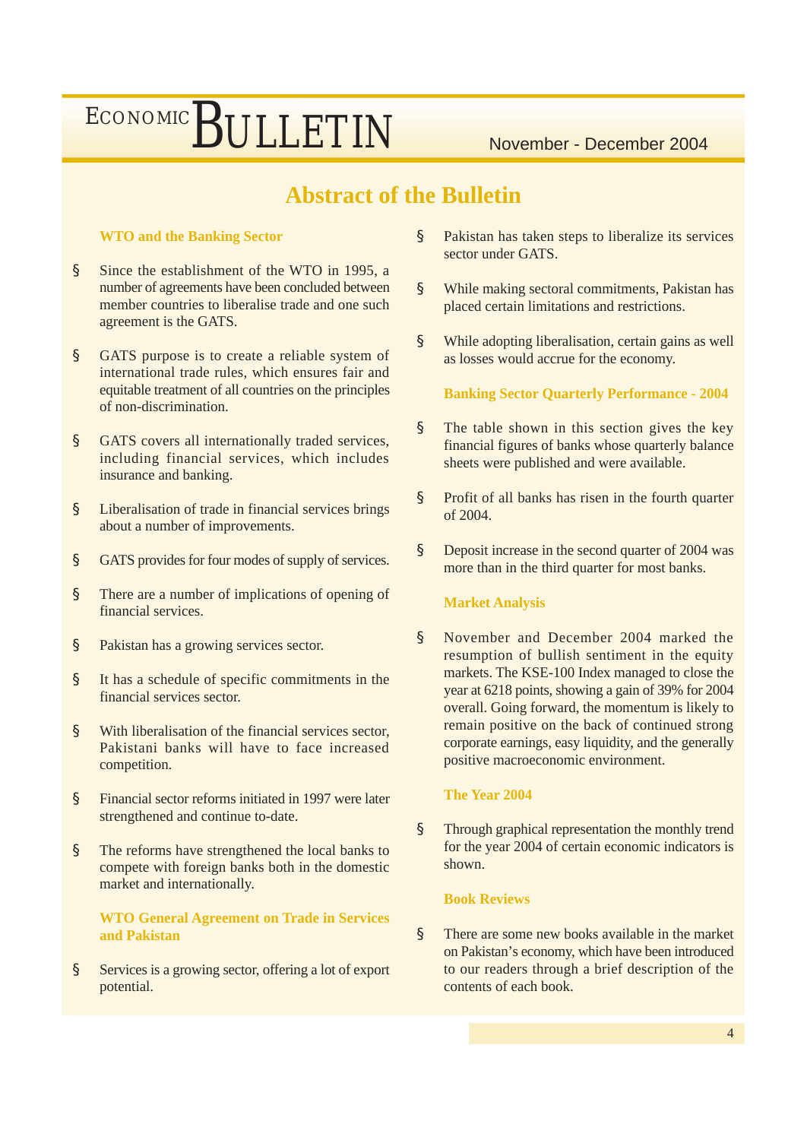### **Abstract of the Bulletin**

### **WTO and the Banking Sector**

- § Since the establishment of the WTO in 1995, a number of agreements have been concluded between member countries to liberalise trade and one such agreement is the GATS.
- § GATS purpose is to create a reliable system of international trade rules, which ensures fair and equitable treatment of all countries on the principles of non-discrimination.
- § GATS covers all internationally traded services, including financial services, which includes insurance and banking.
- § Liberalisation of trade in financial services brings about a number of improvements.
- § GATS provides for four modes of supply of services.
- § There are a number of implications of opening of financial services.
- § Pakistan has a growing services sector.
- § It has a schedule of specific commitments in the financial services sector.
- § With liberalisation of the financial services sector, Pakistani banks will have to face increased competition.
- § Financial sector reforms initiated in 1997 were later strengthened and continue to-date.
- § The reforms have strengthened the local banks to compete with foreign banks both in the domestic market and internationally.

**WTO General Agreement on Trade in Services and Pakistan**

§ Services is a growing sector, offering a lot of export potential.

- § Pakistan has taken steps to liberalize its services sector under GATS.
- § While making sectoral commitments, Pakistan has placed certain limitations and restrictions.
- § While adopting liberalisation, certain gains as well as losses would accrue for the economy.

**Banking Sector Quarterly Performance - 2004**

- § The table shown in this section gives the key financial figures of banks whose quarterly balance sheets were published and were available.
- § Profit of all banks has risen in the fourth quarter of 2004.
- § Deposit increase in the second quarter of 2004 was more than in the third quarter for most banks.

### **Market Analysis**

§ November and December 2004 marked the resumption of bullish sentiment in the equity markets. The KSE-100 Index managed to close the year at 6218 points, showing a gain of 39% for 2004 overall. Going forward, the momentum is likely to remain positive on the back of continued strong corporate earnings, easy liquidity, and the generally positive macroeconomic environment.

### **The Year 2004**

§ Through graphical representation the monthly trend for the year 2004 of certain economic indicators is shown.

### **Book Reviews**

§ There are some new books available in the market on Pakistan's economy, which have been introduced to our readers through a brief description of the contents of each book.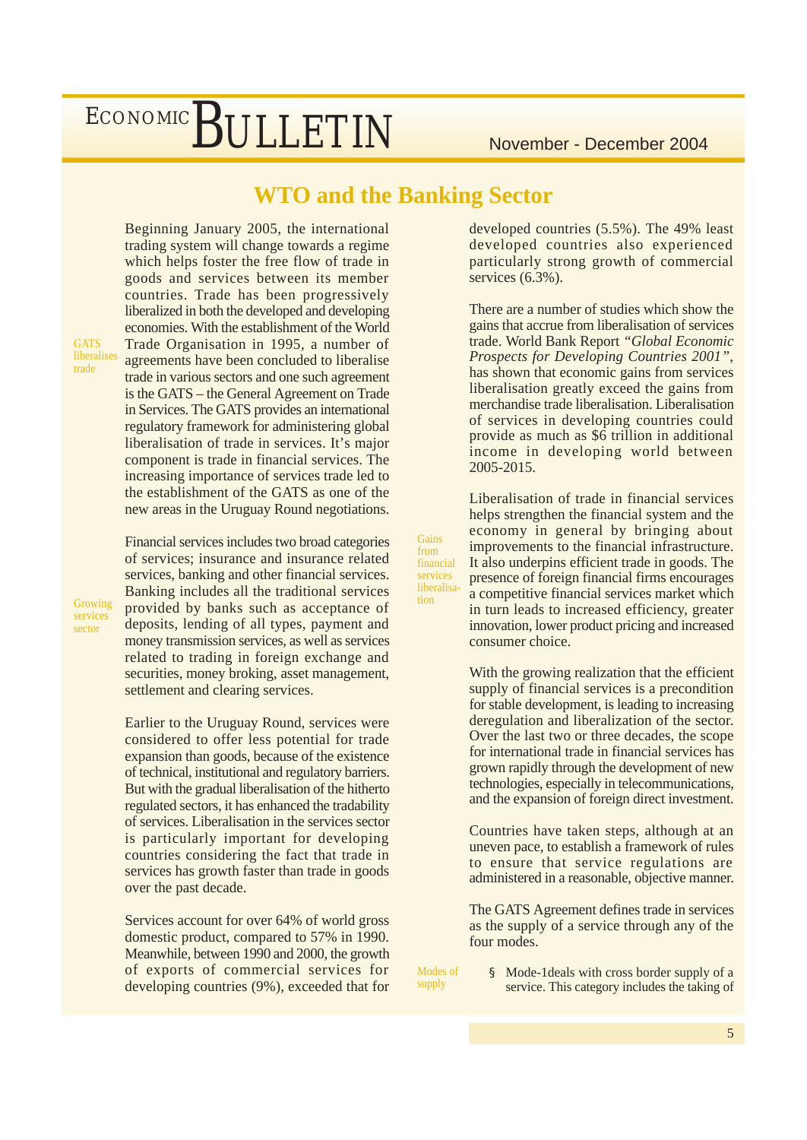### **WTO and the Banking Sector**

**Gains** from financial services liberalisation

Beginning January 2005, the international trading system will change towards a regime which helps foster the free flow of trade in goods and services between its member countries. Trade has been progressively liberalized in both the developed and developing economies. With the establishment of the World Trade Organisation in 1995, a number of agreements have been concluded to liberalise trade in various sectors and one such agreement is the GATS – the General Agreement on Trade in Services. The GATS provides an international regulatory framework for administering global liberalisation of trade in services. It's major component is trade in financial services. The increasing importance of services trade led to the establishment of the GATS as one of the new areas in the Uruguay Round negotiations.

Financial services includes two broad categories of services; insurance and insurance related

**GATS** liberalises trade

sector

services, banking and other financial services. Banking includes all the traditional services provided by banks such as acceptance of deposits, lending of all types, payment and money transmission services, as well as services related to trading in foreign exchange and securities, money broking, asset management, Growing services

settlement and clearing services.

Earlier to the Uruguay Round, services were considered to offer less potential for trade expansion than goods, because of the existence of technical, institutional and regulatory barriers. But with the gradual liberalisation of the hitherto regulated sectors, it has enhanced the tradability of services. Liberalisation in the services sector is particularly important for developing countries considering the fact that trade in services has growth faster than trade in goods over the past decade.

Services account for over 64% of world gross domestic product, compared to 57% in 1990. Meanwhile, between 1990 and 2000, the growth of exports of commercial services for developing countries (9%), exceeded that for developed countries (5.5%). The 49% least developed countries also experienced particularly strong growth of commercial services (6.3%).

There are a number of studies which show the gains that accrue from liberalisation of services trade. World Bank Report *"Global Economic Prospects for Developing Countries 2001"*, has shown that economic gains from services liberalisation greatly exceed the gains from merchandise trade liberalisation. Liberalisation of services in developing countries could provide as much as \$6 trillion in additional income in developing world between 2005-2015.

Liberalisation of trade in financial services helps strengthen the financial system and the economy in general by bringing about improvements to the financial infrastructure. It also underpins efficient trade in goods. The presence of foreign financial firms encourages a competitive financial services market which in turn leads to increased efficiency, greater innovation, lower product pricing and increased consumer choice.

With the growing realization that the efficient supply of financial services is a precondition for stable development, is leading to increasing deregulation and liberalization of the sector. Over the last two or three decades, the scope for international trade in financial services has grown rapidly through the development of new technologies, especially in telecommunications, and the expansion of foreign direct investment.

Countries have taken steps, although at an uneven pace, to establish a framework of rules to ensure that service regulations are administered in a reasonable, objective manner.

The GATS Agreement defines trade in services as the supply of a service through any of the four modes.

Modes of supply

§ Mode-1deals with cross border supply of a service. This category includes the taking of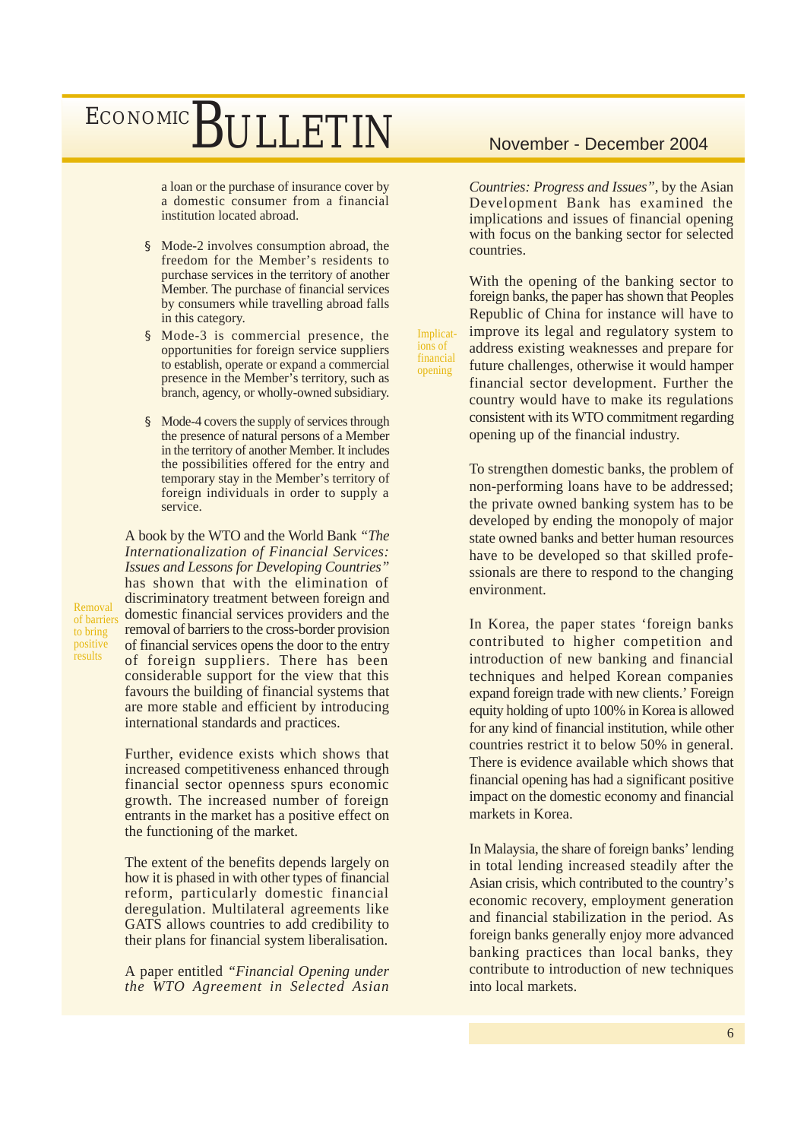a loan or the purchase of insurance cover by a domestic consumer from a financial institution located abroad.

- § Mode-2 involves consumption abroad, the freedom for the Member's residents to purchase services in the territory of another Member. The purchase of financial services by consumers while travelling abroad falls in this category.
- § Mode-3 is commercial presence, the opportunities for foreign service suppliers to establish, operate or expand a commercial presence in the Member's territory, such as branch, agency, or wholly-owned subsidiary.
- § Mode-4 covers the supply of services through the presence of natural persons of a Member in the territory of another Member. It includes the possibilities offered for the entry and temporary stay in the Member's territory of foreign individuals in order to supply a service.

A book by the WTO and the World Bank *"The Internationalization of Financial Services: Issues and Lessons for Developing Countries"* has shown that with the elimination of discriminatory treatment between foreign and domestic financial services providers and the removal of barriers to the cross-border provision of financial services opens the door to the entry of foreign suppliers. There has been considerable support for the view that this favours the building of financial systems that are more stable and efficient by introducing international standards and practices.

Further, evidence exists which shows that increased competitiveness enhanced through financial sector openness spurs economic growth. The increased number of foreign entrants in the market has a positive effect on the functioning of the market.

The extent of the benefits depends largely on how it is phased in with other types of financial reform, particularly domestic financial deregulation. Multilateral agreements like GATS allows countries to add credibility to their plans for financial system liberalisation.

A paper entitled *"Financial Opening under the WTO Agreement in Selected Asian*

*Countries: Progress and Issues"*, by the Asian Development Bank has examined the implications and issues of financial opening with focus on the banking sector for selected countries.

With the opening of the banking sector to foreign banks, the paper has shown that Peoples Republic of China for instance will have to improve its legal and regulatory system to address existing weaknesses and prepare for future challenges, otherwise it would hamper financial sector development. Further the country would have to make its regulations consistent with its WTO commitment regarding opening up of the financial industry.

Implications of financial opening

> To strengthen domestic banks, the problem of non-performing loans have to be addressed; the private owned banking system has to be developed by ending the monopoly of major state owned banks and better human resources have to be developed so that skilled professionals are there to respond to the changing environment.

> In Korea, the paper states 'foreign banks contributed to higher competition and introduction of new banking and financial techniques and helped Korean companies expand foreign trade with new clients.' Foreign equity holding of upto 100% in Korea is allowed for any kind of financial institution, while other countries restrict it to below 50% in general. There is evidence available which shows that financial opening has had a significant positive impact on the domestic economy and financial markets in Korea.

> In Malaysia, the share of foreign banks' lending in total lending increased steadily after the Asian crisis, which contributed to the country's economic recovery, employment generation and financial stabilization in the period. As foreign banks generally enjoy more advanced banking practices than local banks, they contribute to introduction of new techniques into local markets.

Removal of barriers to bring positive **results**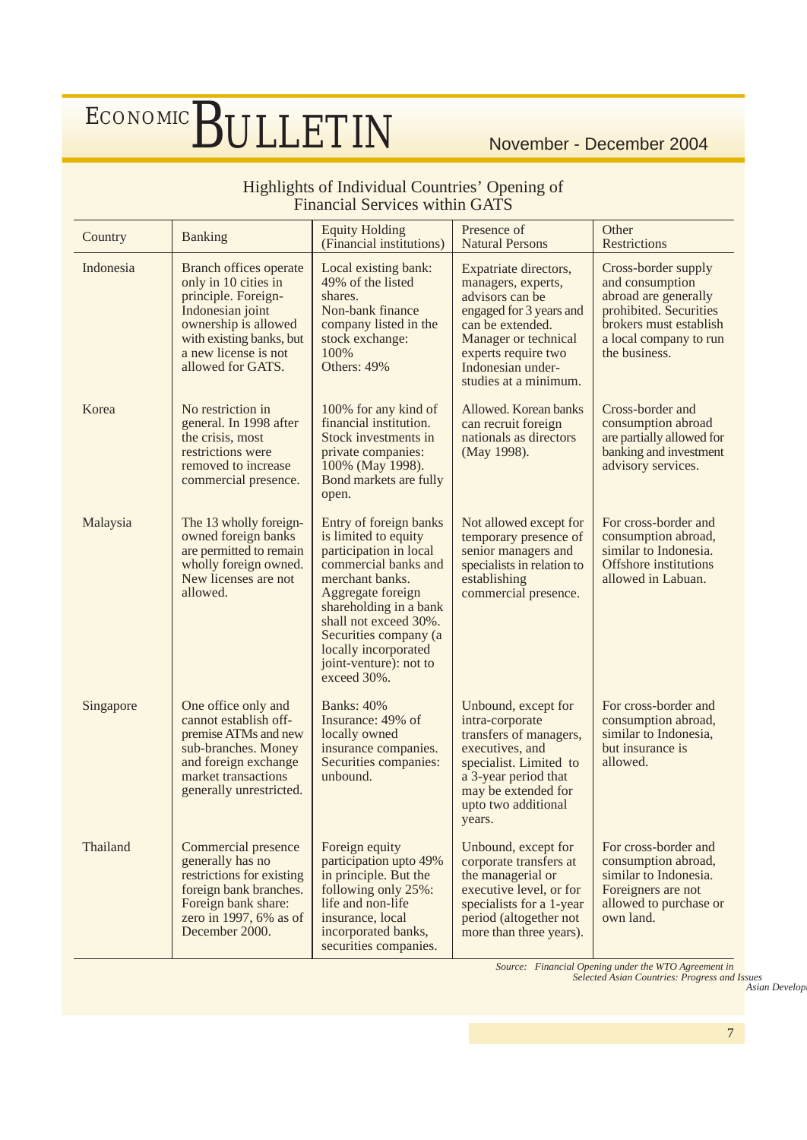### Highlights of Individual Countries' Opening of Financial Services within GATS

| Country   | <b>Banking</b>                                                                                                                                                                             | <b>Equity Holding</b><br>(Financial institutions)                                                                                                                                                                                                                                     | Presence of<br><b>Natural Persons</b>                                                                                                                                                                      | Other<br><b>Restrictions</b>                                                                                                                                  |
|-----------|--------------------------------------------------------------------------------------------------------------------------------------------------------------------------------------------|---------------------------------------------------------------------------------------------------------------------------------------------------------------------------------------------------------------------------------------------------------------------------------------|------------------------------------------------------------------------------------------------------------------------------------------------------------------------------------------------------------|---------------------------------------------------------------------------------------------------------------------------------------------------------------|
| Indonesia | Branch offices operate<br>only in 10 cities in<br>principle. Foreign-<br>Indonesian joint<br>ownership is allowed<br>with existing banks, but<br>a new license is not<br>allowed for GATS. | Local existing bank:<br>49% of the listed<br>shares.<br>Non-bank finance<br>company listed in the<br>stock exchange:<br>100%<br>Others: 49%                                                                                                                                           | Expatriate directors,<br>managers, experts,<br>advisors can be<br>engaged for 3 years and<br>can be extended.<br>Manager or technical<br>experts require two<br>Indonesian under-<br>studies at a minimum. | Cross-border supply<br>and consumption<br>abroad are generally<br>prohibited. Securities<br>brokers must establish<br>a local company to run<br>the business. |
| Korea     | No restriction in<br>general. In 1998 after<br>the crisis, most<br>restrictions were<br>removed to increase<br>commercial presence.                                                        | 100% for any kind of<br>financial institution.<br>Stock investments in<br>private companies:<br>100% (May 1998).<br>Bond markets are fully<br>open.                                                                                                                                   | Allowed. Korean banks<br>can recruit foreign<br>nationals as directors<br>(May 1998).                                                                                                                      | Cross-border and<br>consumption abroad<br>are partially allowed for<br>banking and investment<br>advisory services.                                           |
| Malaysia  | The 13 wholly foreign-<br>owned foreign banks<br>are permitted to remain<br>wholly foreign owned.<br>New licenses are not<br>allowed.                                                      | Entry of foreign banks<br>is limited to equity<br>participation in local<br>commercial banks and<br>merchant banks.<br>Aggregate foreign<br>shareholding in a bank<br>shall not exceed 30%.<br>Securities company (a<br>locally incorporated<br>joint-venture): not to<br>exceed 30%. | Not allowed except for<br>temporary presence of<br>senior managers and<br>specialists in relation to<br>establishing<br>commercial presence.                                                               | For cross-border and<br>consumption abroad,<br>similar to Indonesia.<br>Offshore institutions<br>allowed in Labuan.                                           |
| Singapore | One office only and<br>cannot establish off-<br>premise ATMs and new<br>sub-branches. Money<br>and foreign exchange<br>market transactions<br>generally unrestricted.                      | <b>Banks: 40%</b><br>Insurance: 49% of<br>locally owned<br>insurance companies.<br>Securities companies:<br>unbound.                                                                                                                                                                  | Unbound, except for<br>intra-corporate<br>transfers of managers,<br>executives, and<br>specialist. Limited to<br>a 3-year period that<br>may be extended for<br>upto two additional<br>years.              | For cross-border and<br>consumption abroad,<br>similar to Indonesia,<br>but insurance is<br>allowed.                                                          |
| Thailand  | Commercial presence<br>generally has no<br>restrictions for existing<br>foreign bank branches.<br>Foreign bank share:<br>zero in 1997, 6% as of<br>December 2000.                          | Foreign equity<br>participation upto 49%<br>in principle. But the<br>following only 25%:<br>life and non-life<br>insurance, local<br>incorporated banks,<br>securities companies.                                                                                                     | Unbound, except for<br>corporate transfers at<br>the managerial or<br>executive level, or for<br>specialists for a 1-year<br>period (altogether not<br>more than three years).                             | For cross-border and<br>consumption abroad,<br>similar to Indonesia.<br>Foreigners are not<br>allowed to purchase or<br>own land.                             |

*Source: Financial Opening under the WTO Agreement in Selected Asian Countries: Progress and Issues*

*Asian Develop*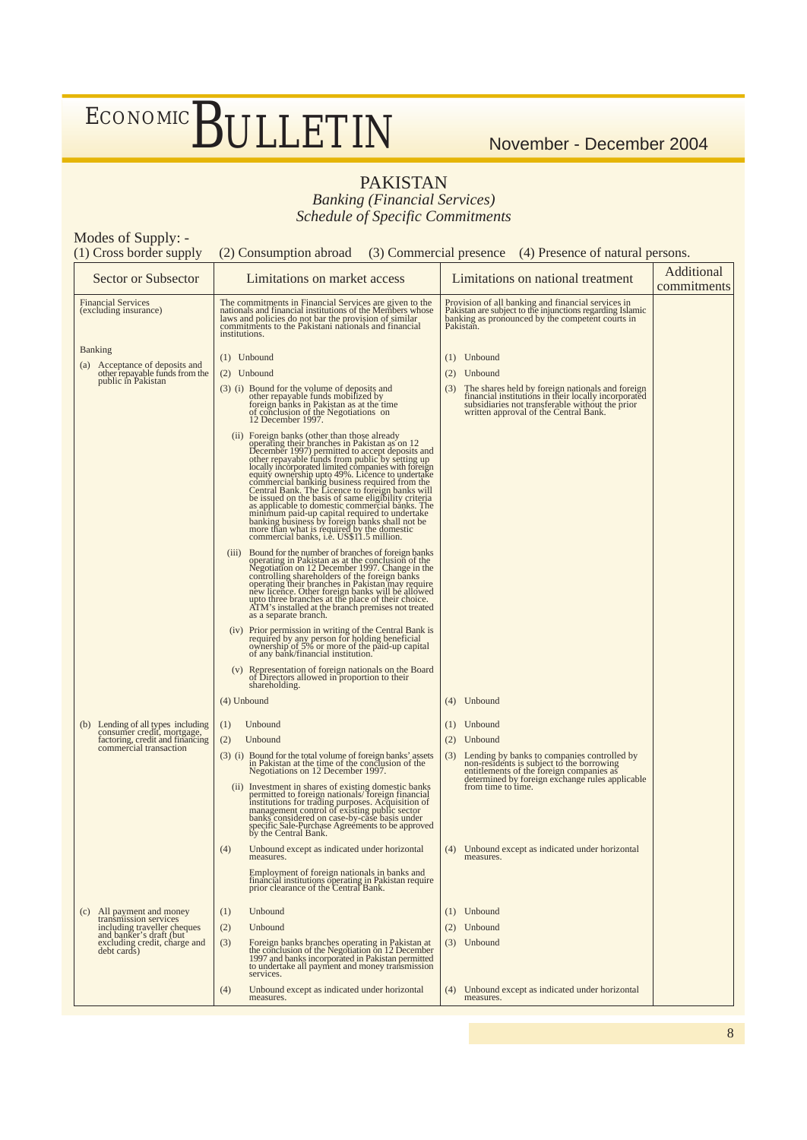### PAKISTAN

*Banking (Financial Services) Schedule of Specific Commitments*

| Modes of Supply: -<br>(1) Cross border supply                                                                                 | (2) Consumption abroad (3) Commercial presence (4) Presence of natural persons.                                                                                                                                                                                                                                               |                                                                                                                                                                                                                      |                           |
|-------------------------------------------------------------------------------------------------------------------------------|-------------------------------------------------------------------------------------------------------------------------------------------------------------------------------------------------------------------------------------------------------------------------------------------------------------------------------|----------------------------------------------------------------------------------------------------------------------------------------------------------------------------------------------------------------------|---------------------------|
| <b>Sector or Subsector</b>                                                                                                    | Limitations on market access                                                                                                                                                                                                                                                                                                  | Limitations on national treatment                                                                                                                                                                                    | Additional<br>commitments |
| <b>Financial Services</b><br>(excluding insurance)                                                                            | The commitments in Financial Services are given to the<br>nationals and financial institutions of the Members whose<br>laws and policies do not bar the provision of similar<br>commitments to the Pakistani nationals and financial<br>institutions.                                                                         | Provision of all banking and financial services in<br>Pakistan are subject to the injunctions regarding Islamic<br>banking as pronounced by the competent courts in<br>Pakistan.                                     |                           |
| <b>Banking</b>                                                                                                                |                                                                                                                                                                                                                                                                                                                               |                                                                                                                                                                                                                      |                           |
| (a) Acceptance of deposits and<br>other repayable funds from the                                                              | $(1)$ Unbound                                                                                                                                                                                                                                                                                                                 | $(1)$ Unbound                                                                                                                                                                                                        |                           |
| public in Pakistan                                                                                                            | $(2)$ Unbound                                                                                                                                                                                                                                                                                                                 | Unbound<br>(2)                                                                                                                                                                                                       |                           |
|                                                                                                                               | (3) (i) Bound for the volume of deposits and<br>other repayable funds mobilized by<br>foreign banks in Pakistan as at the time<br>of conclusion of the Negotiations on<br>$12$ December 1997.                                                                                                                                 | The shares held by foreign nationals and foreign financial institutions in their locally incorporated subsidiaries not transferable without the prior written approval of the Central Bank.<br>(3)                   |                           |
|                                                                                                                               | (ii) Foreign banks (other than those already<br>(ii) Soreign banks (other than those already<br>December 1997) permitted to accept deposits and<br>other repayable funds from public by setting up<br>locally incorporated limited co                                                                                         |                                                                                                                                                                                                                      |                           |
|                                                                                                                               | (iii) Bound for the number of branches of foreign banks<br>Bound for the number of practices of foreign banks<br>operating in Pakistan as at the conclusion of the<br>Negotiation on 12 December 1997. Change in the<br>controlling shareholders of the foreign banks<br>operating their branches in<br>as a separate branch. |                                                                                                                                                                                                                      |                           |
|                                                                                                                               | (iv) Prior permission in writing of the Central Bank is<br>required by any person for holding beneficial<br>ovenership of 5% or more of the paid-up capital<br>of any bank/financial institution.                                                                                                                             |                                                                                                                                                                                                                      |                           |
|                                                                                                                               | (v) Representation of foreign nationals on the Board<br>of Directors allowed in proportion to their<br>shareholding.                                                                                                                                                                                                          |                                                                                                                                                                                                                      |                           |
|                                                                                                                               | $(4)$ Unbound                                                                                                                                                                                                                                                                                                                 | Unbound<br>(4)                                                                                                                                                                                                       |                           |
|                                                                                                                               | (1)<br>Unbound                                                                                                                                                                                                                                                                                                                | Unbound<br>(1)                                                                                                                                                                                                       |                           |
| (b) Lending of all types including<br>consumer credit, mortgage,<br>factoring, credit and financing<br>commercial transaction | Unbound<br>(2)                                                                                                                                                                                                                                                                                                                | Unbound<br>(2)                                                                                                                                                                                                       |                           |
|                                                                                                                               | (3) (i) Bound for the total volume of foreign banks' assets<br>in Pakistan at the time of the conclusion of the<br>Negotiations on 12 December 1997.                                                                                                                                                                          | Lending by banks to companies controlled by<br>non-residents is subject to the borrowing<br>entitlements of the foreign companies as<br>determined by foreign exchange rules applicable<br>from time to time.<br>(3) |                           |
|                                                                                                                               | (ii) Investment in shares of existing domestic banks<br>permitted to foreign nationals/ foreign financial<br>institutions for trading purposes. Acquisition of<br>management control of existing public sector<br>banks considered on case                                                                                    |                                                                                                                                                                                                                      |                           |
|                                                                                                                               | (4)<br>Unbound except as indicated under horizontal<br>measures.                                                                                                                                                                                                                                                              | Unbound except as indicated under horizontal<br>(4)<br>measures.                                                                                                                                                     |                           |
|                                                                                                                               | Employment of foreign nationals in banks and<br>financial institutions operating in Pakistan require<br>prior clearance of the Central Bank.                                                                                                                                                                                  |                                                                                                                                                                                                                      |                           |
| (c) All payment and money                                                                                                     | Unbound<br>(1)                                                                                                                                                                                                                                                                                                                | Unbound<br>(1)                                                                                                                                                                                                       |                           |
| transmission services                                                                                                         | (2)<br>Unbound                                                                                                                                                                                                                                                                                                                | Unbound<br>(2)                                                                                                                                                                                                       |                           |
| including traveller cheques<br>and banker's draft (but<br>excluding credit, charge and<br>debt cards)                         | Foreign banks branches operating in Pakistan at<br>(3)<br>the conclusion of the Negotiation on 12 December<br>1997 and banks incorporated in Pakistan permitted<br>to undertake all payment and money transmission<br>services.                                                                                               | Unbound<br>(3)                                                                                                                                                                                                       |                           |
|                                                                                                                               | Unbound except as indicated under horizontal<br>(4)<br>measures.                                                                                                                                                                                                                                                              | Unbound except as indicated under horizontal<br>(4)<br>measures.                                                                                                                                                     |                           |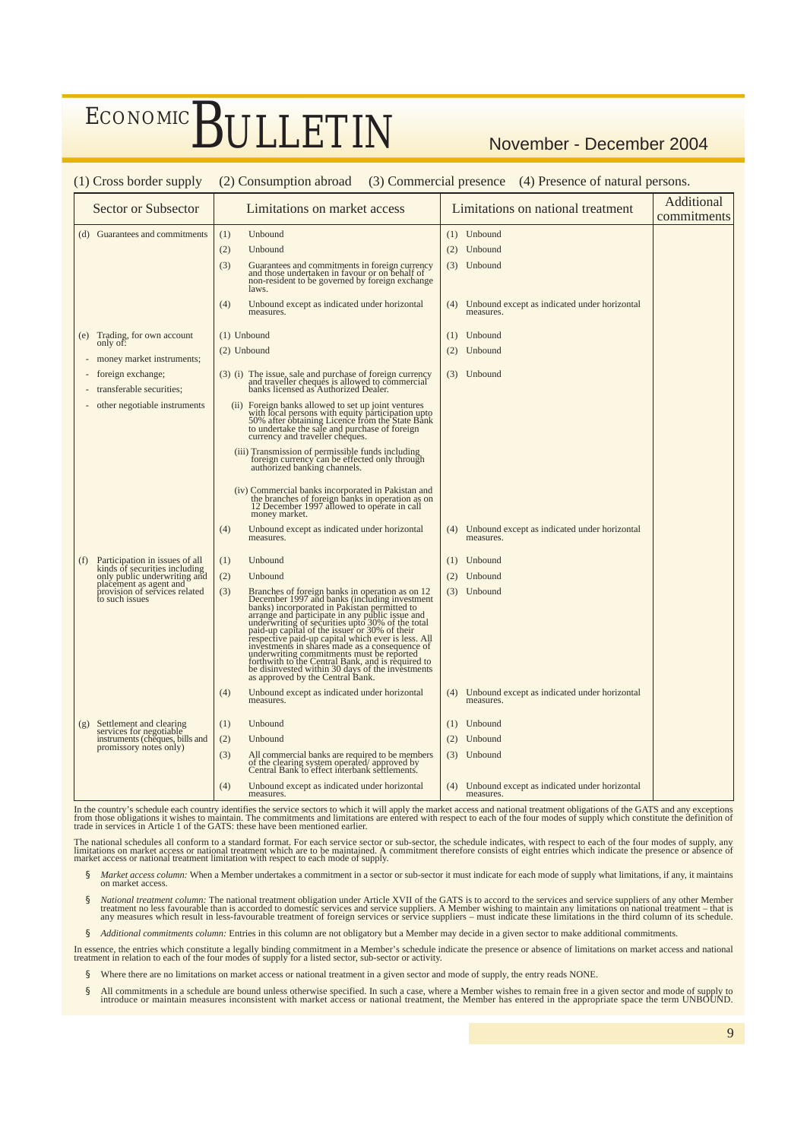| (1) Cross border supply                                                                                                  |     | (2) Consumption abroad (3) Commercial presence (4) Presence of natural persons.                                                                                                                                                                                                |     |                                                           |                           |
|--------------------------------------------------------------------------------------------------------------------------|-----|--------------------------------------------------------------------------------------------------------------------------------------------------------------------------------------------------------------------------------------------------------------------------------|-----|-----------------------------------------------------------|---------------------------|
| <b>Sector or Subsector</b>                                                                                               |     | Limitations on market access                                                                                                                                                                                                                                                   |     | Limitations on national treatment                         | Additional<br>commitments |
| (d) Guarantees and commitments                                                                                           | (1) | Unbound                                                                                                                                                                                                                                                                        |     | (1) Unbound                                               |                           |
|                                                                                                                          | (2) | Unbound                                                                                                                                                                                                                                                                        | (2) | Unbound                                                   |                           |
|                                                                                                                          | (3) | Guarantees and commitments in foreign currency<br>and those undertaken in favour or on behalf of<br>non-resident to be governed by foreign exchange<br>laws.                                                                                                                   |     | (3) Unbound                                               |                           |
|                                                                                                                          | (4) | Unbound except as indicated under horizontal<br>measures.                                                                                                                                                                                                                      | (4) | Unbound except as indicated under horizontal<br>measures. |                           |
| Trading, for own account<br>(e)                                                                                          |     | $(1)$ Unbound                                                                                                                                                                                                                                                                  | (1) | Unbound                                                   |                           |
| only of:<br>money market instruments;                                                                                    |     | $(2)$ Unbound                                                                                                                                                                                                                                                                  | (2) | Unbound                                                   |                           |
| foreign exchange;<br>transferable securities;                                                                            |     | (3) (i) The issue, sale and purchase of foreign currency<br>and traveller cheques is allowed to commercial<br>banks licensed as Authorized Dealer.                                                                                                                             |     | (3) Unbound                                               |                           |
| other negotiable instruments                                                                                             |     | (ii) Foreign banks allowed to set up joint ventures<br>with local persons with equity participation upto<br>50% after obtaining Licence from the State Bank<br>to undertake the sale and purchase of foreign<br>currency and traveller cheques.                                |     |                                                           |                           |
|                                                                                                                          |     | (iii) Transmission of permissible funds including<br>foreign currency can be effected only through<br>authorized banking channels.                                                                                                                                             |     |                                                           |                           |
|                                                                                                                          |     | (iv) Commercial banks incorporated in Pakistan and<br>the branches of foreign banks in operation as on<br>12 December 1997 allowed to operate in call<br>money market.                                                                                                         |     |                                                           |                           |
|                                                                                                                          | (4) | Unbound except as indicated under horizontal<br>measures.                                                                                                                                                                                                                      | (4) | Unbound except as indicated under horizontal<br>measures. |                           |
| Participation in issues of all<br>(f)                                                                                    | (1) | Unbound                                                                                                                                                                                                                                                                        | (1) | Unbound                                                   |                           |
| Finds of securities including<br>only public underwriting and<br>placement as agent and<br>provision of services related | (2) | Unbound                                                                                                                                                                                                                                                                        | (2) | Unbound                                                   |                           |
| to such issues                                                                                                           | (3) | Branches of foreign banks in operation as on 12<br>December 1997 and banks (including investment<br>banks) incorporated in Pakistan permitted to<br>arrange and participate in any public issue and<br>participate in any public issue and<br>as approved by the Central Bank. |     | (3) Unbound                                               |                           |
|                                                                                                                          | (4) | Unbound except as indicated under horizontal<br>measures.                                                                                                                                                                                                                      | (4) | Unbound except as indicated under horizontal<br>measures. |                           |
| Settlement and clearing<br>(g)                                                                                           | (1) | Unbound                                                                                                                                                                                                                                                                        | (1) | Unbound                                                   |                           |
| services for negotiable<br>instruments (cheques, bills and                                                               | (2) | Unbound                                                                                                                                                                                                                                                                        | (2) | Unbound                                                   |                           |
| promissory notes only)                                                                                                   | (3) | All commercial banks are required to be members<br>of the clearing system operated/approved by<br>Central Bank to effect interbank settlements.                                                                                                                                |     | $(3)$ Unbound                                             |                           |
|                                                                                                                          | (4) | Unbound except as indicated under horizontal<br>measures.                                                                                                                                                                                                                      |     | Unbound except as indicated under horizontal<br>measures. |                           |

(1) Cross border supply (2) Consumption abroad (3) Commercial presence (4) Presence of natural persons.

In the country's schedule each country identifies the service sectors to which it will apply the market access and national treatment obligations of the GATS and any exceptions<br>from those obligations it wishes to maintain.

The national schedules all conform to a standard format. For each service sector or sub-sector, the schedule indicates, with respect to each of the four modes of supply, any<br>limitations on market access or national treatme

- § Market access column: When a Member undertakes a commitment in a sector or sub-sector it must indicate for each mode of supply what limitations, if any, it maintains on market access.
- S National treatment column: The national treatment obligation under Article XVII of the GATS is to accord to the services and service suppliers of any other Member<br>treatment no less favourable than is accorded to domestic
- § *Additional commitments column:* Entries in this column are not obligatory but a Member may decide in a given sector to make additional commitments.

In essence, the entries which constitute a legally binding commitment in a Member's schedule indicate the presence or absence of limitations on market access and national treatment in relation to each of the four modes of

- § Where there are no limitations on market access or national treatment in a given sector and mode of supply, the entry reads NONE.
- All commitments in a schedule are bound unless otherwise specified. In such a case, where a Member wishes to remain free in a given sector and mode of supply to introduce or maintain measures inconsistent with market acces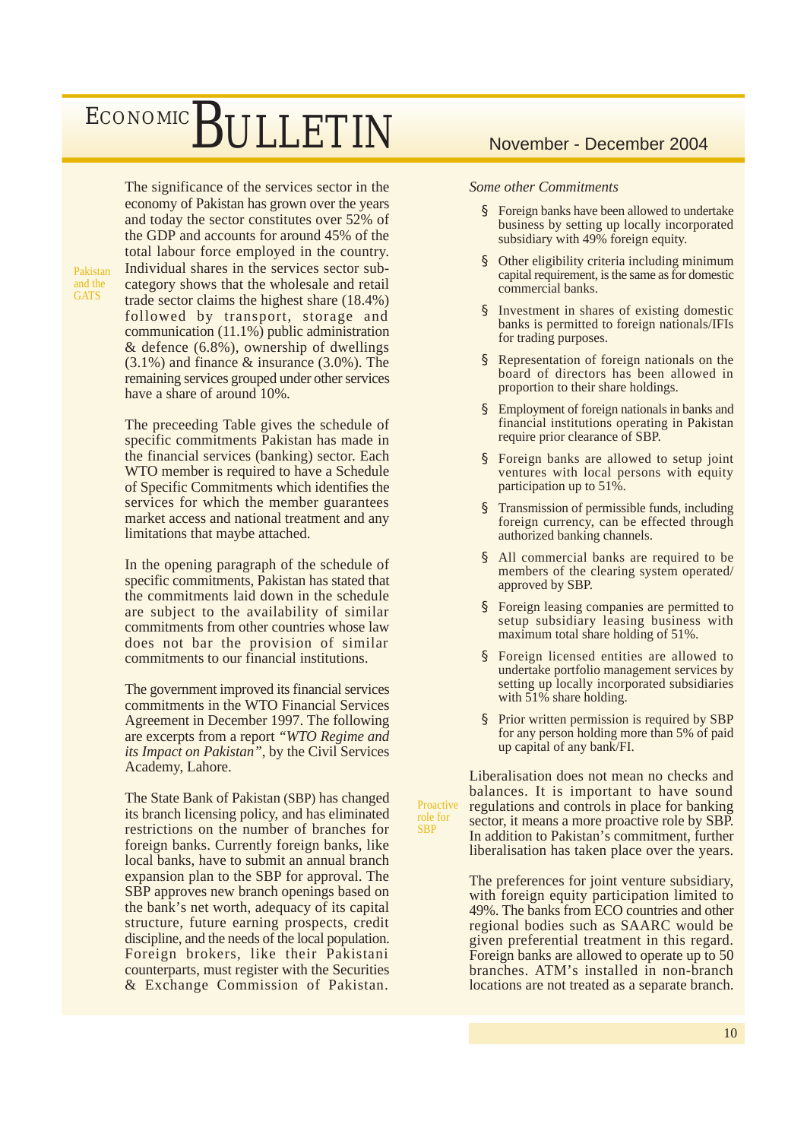The significance of the services sector in the economy of Pakistan has grown over the years and today the sector constitutes over 52% of the GDP and accounts for around 45% of the total labour force employed in the country. Individual shares in the services sector subcategory shows that the wholesale and retail trade sector claims the highest share (18.4%) followed by transport, storage and communication (11.1%) public administration & defence (6.8%), ownership of dwellings (3.1%) and finance & insurance (3.0%). The remaining services grouped under other services have a share of around 10%.

Pakistan and the **GATS** 

> The preceeding Table gives the schedule of specific commitments Pakistan has made in the financial services (banking) sector. Each WTO member is required to have a Schedule of Specific Commitments which identifies the services for which the member guarantees market access and national treatment and any limitations that maybe attached.

> In the opening paragraph of the schedule of specific commitments, Pakistan has stated that the commitments laid down in the schedule are subject to the availability of similar commitments from other countries whose law does not bar the provision of similar commitments to our financial institutions.

> The government improved its financial services commitments in the WTO Financial Services Agreement in December 1997. The following are excerpts from a report *"WTO Regime and its Impact on Pakistan"*, by the Civil Services Academy, Lahore.

> The State Bank of Pakistan (SBP) has changed its branch licensing policy, and has eliminated restrictions on the number of branches for foreign banks. Currently foreign banks, like local banks, have to submit an annual branch expansion plan to the SBP for approval. The SBP approves new branch openings based on the bank's net worth, adequacy of its capital structure, future earning prospects, credit discipline, and the needs of the local population. Foreign brokers, like their Pakistani counterparts, must register with the Securities & Exchange Commission of Pakistan.

### *Some other Commitments*

- § Foreign banks have been allowed to undertake business by setting up locally incorporated subsidiary with 49% foreign equity.
- § Other eligibility criteria including minimum capital requirement, is the same as for domestic commercial banks.
- § Investment in shares of existing domestic banks is permitted to foreign nationals/IFIs for trading purposes.
- § Representation of foreign nationals on the board of directors has been allowed in proportion to their share holdings.
- § Employment of foreign nationals in banks and financial institutions operating in Pakistan require prior clearance of SBP.
- § Foreign banks are allowed to setup joint ventures with local persons with equity participation up to 51%.
- § Transmission of permissible funds, including foreign currency, can be effected through authorized banking channels.
- § All commercial banks are required to be members of the clearing system operated/ approved by SBP.
- § Foreign leasing companies are permitted to setup subsidiary leasing business with maximum total share holding of 51%.
- § Foreign licensed entities are allowed to undertake portfolio management services by setting up locally incorporated subsidiaries with 51% share holding.
- § Prior written permission is required by SBP for any person holding more than 5% of paid up capital of any bank/FI.

Liberalisation does not mean no checks and balances. It is important to have sound regulations and controls in place for banking sector, it means a more proactive role by SBP. In addition to Pakistan's commitment, further liberalisation has taken place over the years. Proactive

role for **SBP** 

> The preferences for joint venture subsidiary, with foreign equity participation limited to 49%. The banks from ECO countries and other regional bodies such as SAARC would be given preferential treatment in this regard. Foreign banks are allowed to operate up to 50 branches. ATM's installed in non-branch locations are not treated as a separate branch.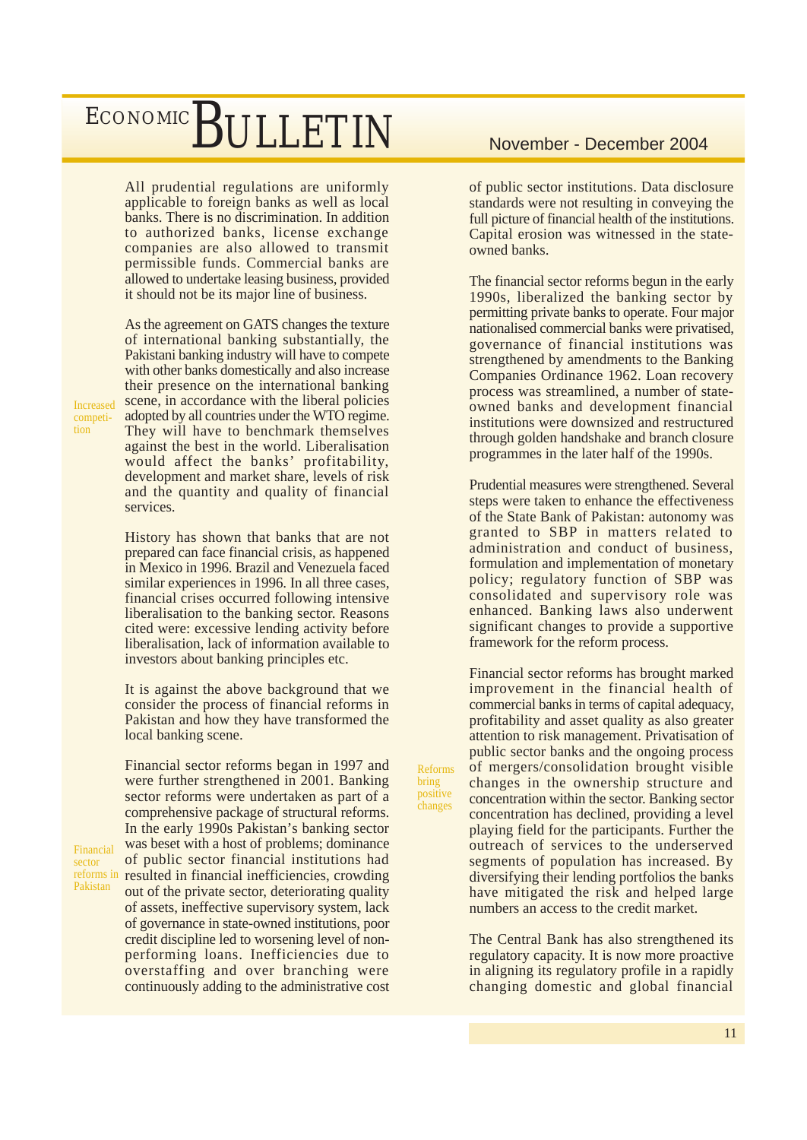All prudential regulations are uniformly applicable to foreign banks as well as local banks. There is no discrimination. In addition to authorized banks, license exchange companies are also allowed to transmit permissible funds. Commercial banks are allowed to undertake leasing business, provided it should not be its major line of business.

As the agreement on GATS changes the texture of international banking substantially, the Pakistani banking industry will have to compete with other banks domestically and also increase their presence on the international banking scene, in accordance with the liberal policies adopted by all countries under the WTO regime. They will have to benchmark themselves against the best in the world. Liberalisation would affect the banks' profitability, development and market share, levels of risk and the quantity and quality of financial services.

History has shown that banks that are not prepared can face financial crisis, as happened in Mexico in 1996. Brazil and Venezuela faced similar experiences in 1996. In all three cases, financial crises occurred following intensive liberalisation to the banking sector. Reasons cited were: excessive lending activity before liberalisation, lack of information available to investors about banking principles etc.

It is against the above background that we consider the process of financial reforms in Pakistan and how they have transformed the local banking scene.

Financial sector reforms began in 1997 and were further strengthened in 2001. Banking sector reforms were undertaken as part of a comprehensive package of structural reforms. In the early 1990s Pakistan's banking sector was beset with a host of problems; dominance of public sector financial institutions had reforms in resulted in financial inefficiencies, crowding out of the private sector, deteriorating quality of assets, ineffective supervisory system, lack of governance in state-owned institutions, poor credit discipline led to worsening level of nonperforming loans. Inefficiencies due to overstaffing and over branching were continuously adding to the administrative cost of public sector institutions. Data disclosure standards were not resulting in conveying the full picture of financial health of the institutions. Capital erosion was witnessed in the stateowned banks.

The financial sector reforms begun in the early 1990s, liberalized the banking sector by permitting private banks to operate. Four major nationalised commercial banks were privatised, governance of financial institutions was strengthened by amendments to the Banking Companies Ordinance 1962. Loan recovery process was streamlined, a number of stateowned banks and development financial institutions were downsized and restructured through golden handshake and branch closure programmes in the later half of the 1990s.

Prudential measures were strengthened. Several steps were taken to enhance the effectiveness of the State Bank of Pakistan: autonomy was granted to SBP in matters related to administration and conduct of business, formulation and implementation of monetary policy; regulatory function of SBP was consolidated and supervisory role was enhanced. Banking laws also underwent significant changes to provide a supportive framework for the reform process.

Financial sector reforms has brought marked improvement in the financial health of commercial banks in terms of capital adequacy, profitability and asset quality as also greater attention to risk management. Privatisation of public sector banks and the ongoing process of mergers/consolidation brought visible changes in the ownership structure and concentration within the sector. Banking sector concentration has declined, providing a level playing field for the participants. Further the outreach of services to the underserved segments of population has increased. By diversifying their lending portfolios the banks have mitigated the risk and helped large numbers an access to the credit market.

Reforms bring positive changes

> The Central Bank has also strengthened its regulatory capacity. It is now more proactive in aligning its regulatory profile in a rapidly changing domestic and global financial

Increased competition

Financial sector Pakistan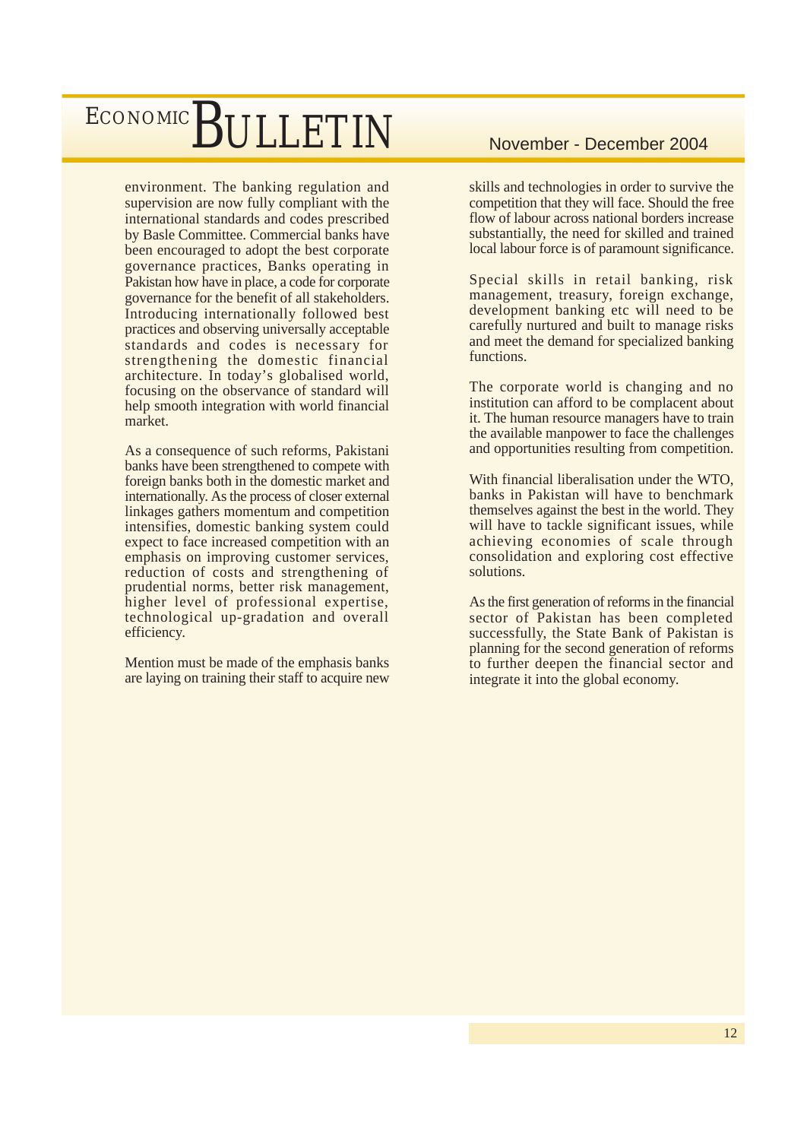environment. The banking regulation and supervision are now fully compliant with the international standards and codes prescribed by Basle Committee. Commercial banks have been encouraged to adopt the best corporate governance practices, Banks operating in Pakistan how have in place, a code for corporate governance for the benefit of all stakeholders. Introducing internationally followed best practices and observing universally acceptable standards and codes is necessary for strengthening the domestic financial architecture. In today's globalised world, focusing on the observance of standard will help smooth integration with world financial market.

As a consequence of such reforms, Pakistani banks have been strengthened to compete with foreign banks both in the domestic market and internationally. As the process of closer external linkages gathers momentum and competition intensifies, domestic banking system could expect to face increased competition with an emphasis on improving customer services, reduction of costs and strengthening of prudential norms, better risk management, higher level of professional expertise, technological up-gradation and overall efficiency.

Mention must be made of the emphasis banks are laying on training their staff to acquire new

skills and technologies in order to survive the competition that they will face. Should the free flow of labour across national borders increase substantially, the need for skilled and trained local labour force is of paramount significance.

Special skills in retail banking, risk management, treasury, foreign exchange, development banking etc will need to be carefully nurtured and built to manage risks and meet the demand for specialized banking functions.

The corporate world is changing and no institution can afford to be complacent about it. The human resource managers have to train the available manpower to face the challenges and opportunities resulting from competition.

With financial liberalisation under the WTO, banks in Pakistan will have to benchmark themselves against the best in the world. They will have to tackle significant issues, while achieving economies of scale through consolidation and exploring cost effective solutions.

As the first generation of reforms in the financial sector of Pakistan has been completed successfully, the State Bank of Pakistan is planning for the second generation of reforms to further deepen the financial sector and integrate it into the global economy.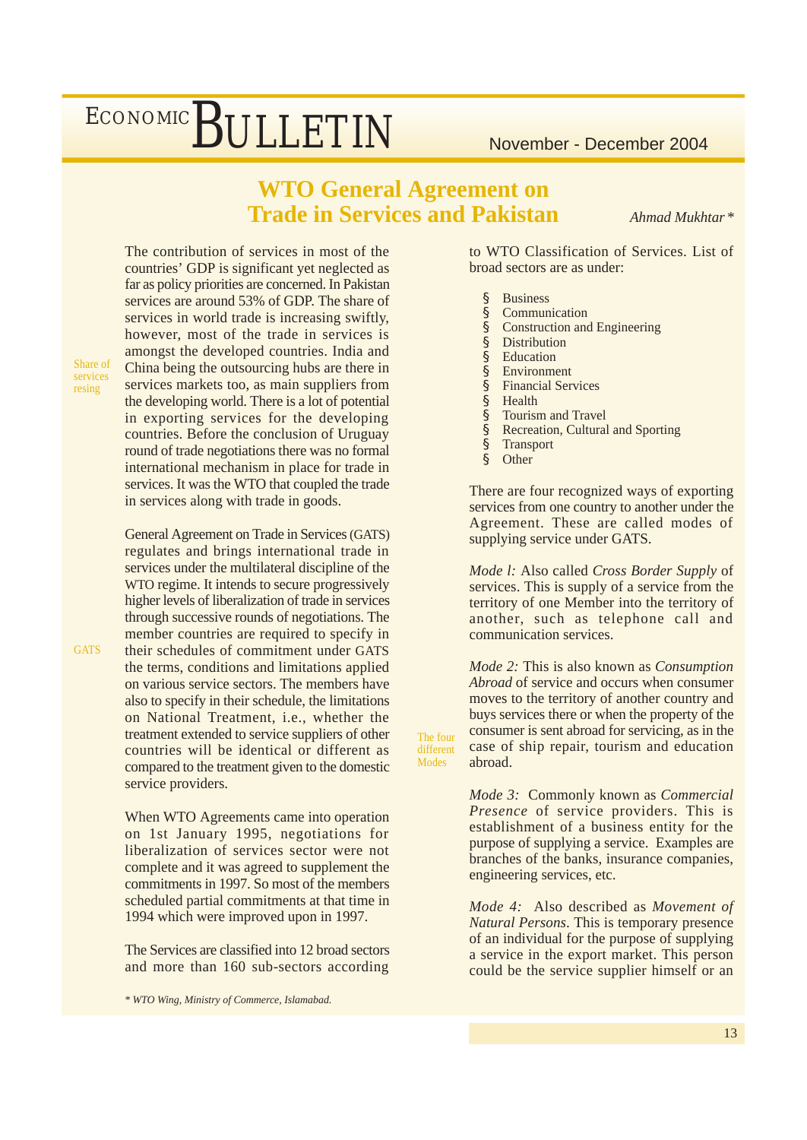### **WTO General Agreement on Trade in Services and Pakistan**

*Ahmad Mukhtar \**

The contribution of services in most of the countries' GDP is significant yet neglected as far as policy priorities are concerned. In Pakistan services are around 53% of GDP. The share of services in world trade is increasing swiftly, however, most of the trade in services is amongst the developed countries. India and China being the outsourcing hubs are there in services markets too, as main suppliers from the developing world. There is a lot of potential in exporting services for the developing countries. Before the conclusion of Uruguay round of trade negotiations there was no formal international mechanism in place for trade in services. It was the WTO that coupled the trade in services along with trade in goods.

General Agreement on Trade in Services (GATS) regulates and brings international trade in services under the multilateral discipline of the WTO regime. It intends to secure progressively higher levels of liberalization of trade in services through successive rounds of negotiations. The member countries are required to specify in their schedules of commitment under GATS the terms, conditions and limitations applied on various service sectors. The members have also to specify in their schedule, the limitations on National Treatment, i.e., whether the treatment extended to service suppliers of other countries will be identical or different as compared to the treatment given to the domestic service providers.

When WTO Agreements came into operation on 1st January 1995, negotiations for liberalization of services sector were not complete and it was agreed to supplement the commitments in 1997. So most of the members scheduled partial commitments at that time in 1994 which were improved upon in 1997.

The Services are classified into 12 broad sectors and more than 160 sub-sectors according

*\* WTO Wing, Ministry of Commerce, Islamabad.*

to WTO Classification of Services. List of broad sectors are as under:

- § Business
- § Communication<br>§ Construction and
- § Construction and Engineering<br>§ Distribution
- **Distribution**
- § Education
- § Environment
- § Financial Services
- § Health<br>§ Tourist
- § Tourism and Travel
- § Recreation, Cultural and Sporting<br>§ Transport
- § Transport<br>§ Other
- Other<sup>1</sup>

The four different Modes

There are four recognized ways of exporting services from one country to another under the Agreement. These are called modes of supplying service under GATS.

*Mode l:* Also called *Cross Border Supply* of services. This is supply of a service from the territory of one Member into the territory of another, such as telephone call and communication services.

*Mode 2:* This is also known as *Consumption Abroad* of service and occurs when consumer moves to the territory of another country and buys services there or when the property of the consumer is sent abroad for servicing, as in the case of ship repair, tourism and education abroad.

*Mode 3:* Commonly known as *Commercial Presence* of service providers. This is establishment of a business entity for the purpose of supplying a service. Examples are branches of the banks, insurance companies, engineering services, etc.

*Mode 4:* Also described as *Movement of Natural Persons*. This is temporary presence of an individual for the purpose of supplying a service in the export market. This person could be the service supplier himself or an

**GATS** 

Share of services resing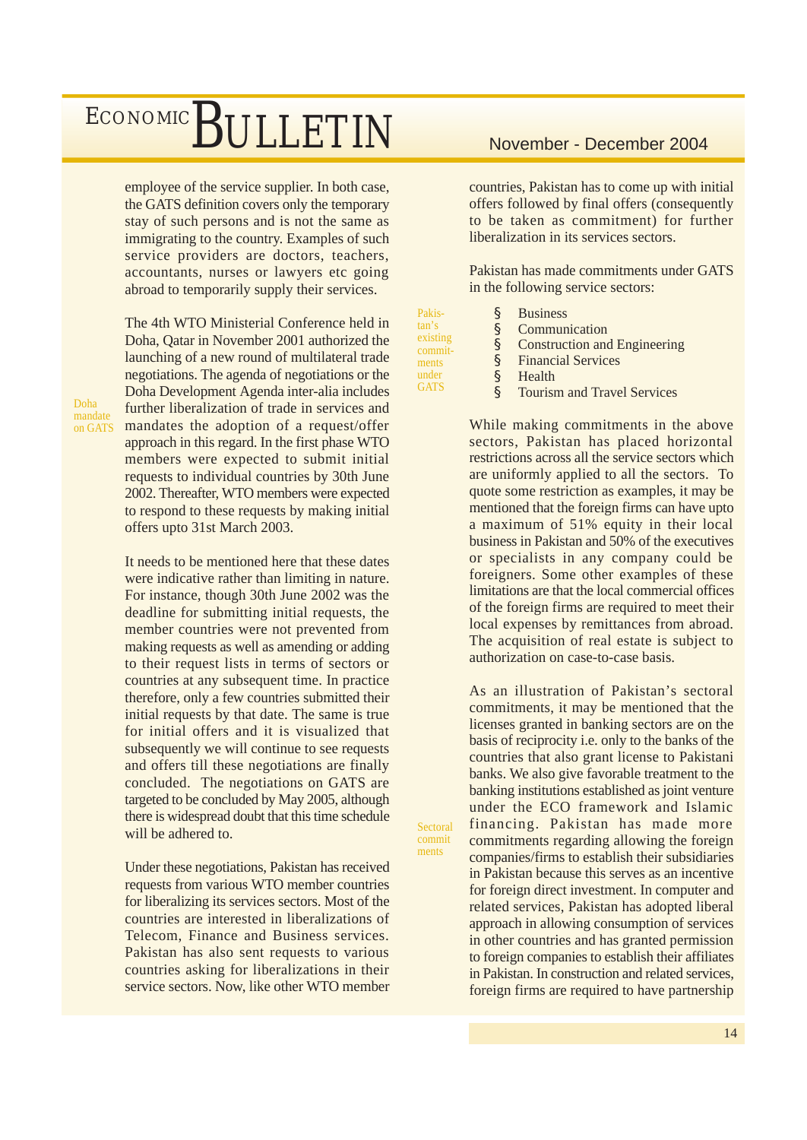employee of the service supplier. In both case, the GATS definition covers only the temporary stay of such persons and is not the same as immigrating to the country. Examples of such service providers are doctors, teachers, accountants, nurses or lawyers etc going abroad to temporarily supply their services.

The 4th WTO Ministerial Conference held in Doha, Qatar in November 2001 authorized the launching of a new round of multilateral trade negotiations. The agenda of negotiations or the Doha Development Agenda inter-alia includes further liberalization of trade in services and mandates the adoption of a request/offer approach in this regard. In the first phase WTO members were expected to submit initial requests to individual countries by 30th June 2002. Thereafter, WTO members were expected to respond to these requests by making initial offers upto 31st March 2003.

It needs to be mentioned here that these dates were indicative rather than limiting in nature. For instance, though 30th June 2002 was the deadline for submitting initial requests, the member countries were not prevented from making requests as well as amending or adding to their request lists in terms of sectors or countries at any subsequent time. In practice therefore, only a few countries submitted their initial requests by that date. The same is true for initial offers and it is visualized that subsequently we will continue to see requests and offers till these negotiations are finally concluded. The negotiations on GATS are targeted to be concluded by May 2005, although there is widespread doubt that this time schedule will be adhered to.

Under these negotiations, Pakistan has received requests from various WTO member countries for liberalizing its services sectors. Most of the countries are interested in liberalizations of Telecom, Finance and Business services. Pakistan has also sent requests to various countries asking for liberalizations in their service sectors. Now, like other WTO member

countries, Pakistan has to come up with initial offers followed by final offers (consequently to be taken as commitment) for further liberalization in its services sectors.

Pakistan has made commitments under GATS in the following service sectors:

| Pakis-              | <b>Business</b>                                                                            |
|---------------------|--------------------------------------------------------------------------------------------|
| tan's               | Communication                                                                              |
| existing<br>commit- | Construction and                                                                           |
|                     | $\mathbf{r}$ $\mathbf{r}$ $\mathbf{r}$ $\mathbf{r}$ $\mathbf{r}$ $\mathbf{r}$ $\mathbf{r}$ |

commitments under **GATS** 

**Sectoral** commit ments

- uction and Engineering § Financial Services
- 
- § Health
- § Tourism and Travel Services

While making commitments in the above sectors, Pakistan has placed horizontal restrictions across all the service sectors which are uniformly applied to all the sectors. To quote some restriction as examples, it may be mentioned that the foreign firms can have upto a maximum of 51% equity in their local business in Pakistan and 50% of the executives or specialists in any company could be foreigners. Some other examples of these limitations are that the local commercial offices of the foreign firms are required to meet their local expenses by remittances from abroad. The acquisition of real estate is subject to authorization on case-to-case basis.

As an illustration of Pakistan's sectoral commitments, it may be mentioned that the licenses granted in banking sectors are on the basis of reciprocity i.e. only to the banks of the countries that also grant license to Pakistani banks. We also give favorable treatment to the banking institutions established as joint venture under the ECO framework and Islamic financing. Pakistan has made more commitments regarding allowing the foreign companies/firms to establish their subsidiaries in Pakistan because this serves as an incentive for foreign direct investment. In computer and related services, Pakistan has adopted liberal approach in allowing consumption of services in other countries and has granted permission to foreign companies to establish their affiliates in Pakistan. In construction and related services, foreign firms are required to have partnership

Doha mandate on GATS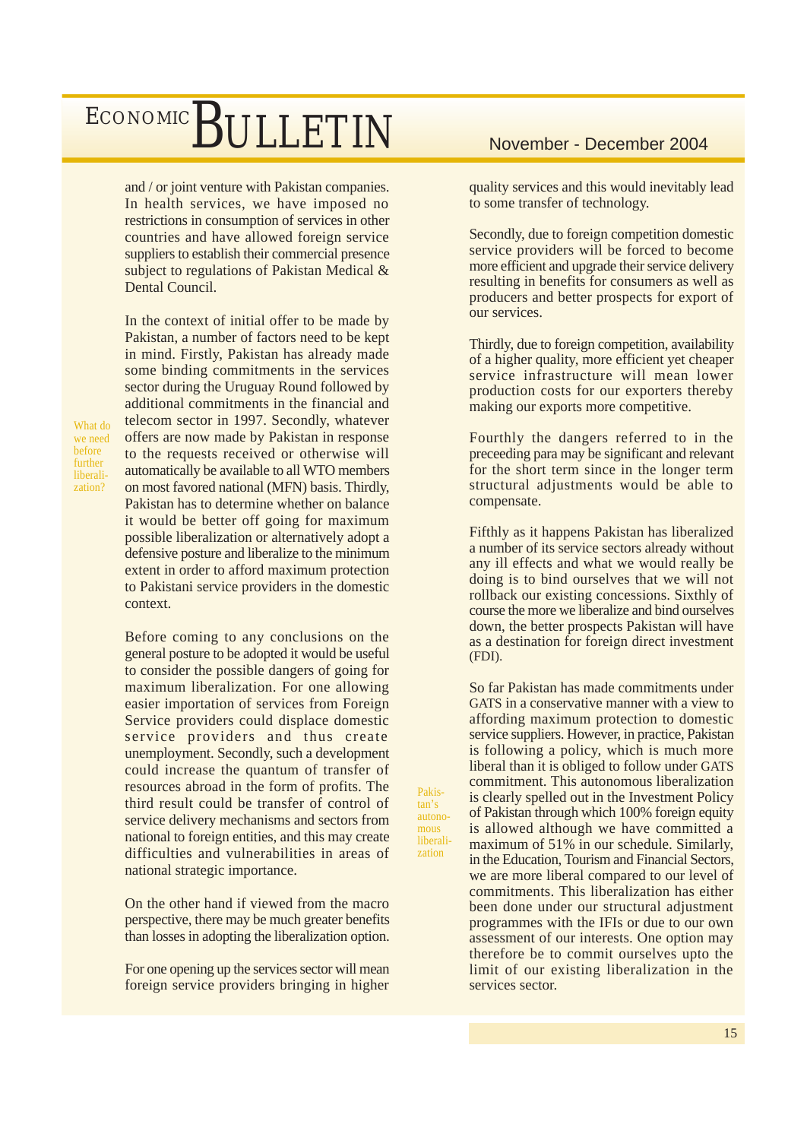and / or joint venture with Pakistan companies. In health services, we have imposed no restrictions in consumption of services in other countries and have allowed foreign service suppliers to establish their commercial presence subject to regulations of Pakistan Medical & Dental Council.

In the context of initial offer to be made by Pakistan, a number of factors need to be kept in mind. Firstly, Pakistan has already made some binding commitments in the services sector during the Uruguay Round followed by additional commitments in the financial and telecom sector in 1997. Secondly, whatever offers are now made by Pakistan in response to the requests received or otherwise will automatically be available to all WTO members on most favored national (MFN) basis. Thirdly, Pakistan has to determine whether on balance it would be better off going for maximum possible liberalization or alternatively adopt a defensive posture and liberalize to the minimum extent in order to afford maximum protection to Pakistani service providers in the domestic context.

Before coming to any conclusions on the general posture to be adopted it would be useful to consider the possible dangers of going for maximum liberalization. For one allowing easier importation of services from Foreign Service providers could displace domestic service providers and thus create unemployment. Secondly, such a development could increase the quantum of transfer of resources abroad in the form of profits. The third result could be transfer of control of service delivery mechanisms and sectors from national to foreign entities, and this may create difficulties and vulnerabilities in areas of national strategic importance.

Pakistan's autonomous liberalization

On the other hand if viewed from the macro perspective, there may be much greater benefits than losses in adopting the liberalization option.

For one opening up the services sector will mean foreign service providers bringing in higher

quality services and this would inevitably lead to some transfer of technology.

Secondly, due to foreign competition domestic service providers will be forced to become more efficient and upgrade their service delivery resulting in benefits for consumers as well as producers and better prospects for export of our services.

Thirdly, due to foreign competition, availability of a higher quality, more efficient yet cheaper service infrastructure will mean lower production costs for our exporters thereby making our exports more competitive.

Fourthly the dangers referred to in the preceeding para may be significant and relevant for the short term since in the longer term structural adjustments would be able to compensate.

Fifthly as it happens Pakistan has liberalized a number of its service sectors already without any ill effects and what we would really be doing is to bind ourselves that we will not rollback our existing concessions. Sixthly of course the more we liberalize and bind ourselves down, the better prospects Pakistan will have as a destination for foreign direct investment (FDI).

So far Pakistan has made commitments under GATS in a conservative manner with a view to affording maximum protection to domestic service suppliers. However, in practice, Pakistan is following a policy, which is much more liberal than it is obliged to follow under GATS commitment. This autonomous liberalization is clearly spelled out in the Investment Policy of Pakistan through which 100% foreign equity is allowed although we have committed a maximum of 51% in our schedule. Similarly, in the Education, Tourism and Financial Sectors, we are more liberal compared to our level of commitments. This liberalization has either been done under our structural adjustment programmes with the IFIs or due to our own assessment of our interests. One option may therefore be to commit ourselves upto the limit of our existing liberalization in the services sector.

we need before further liberalization?

What do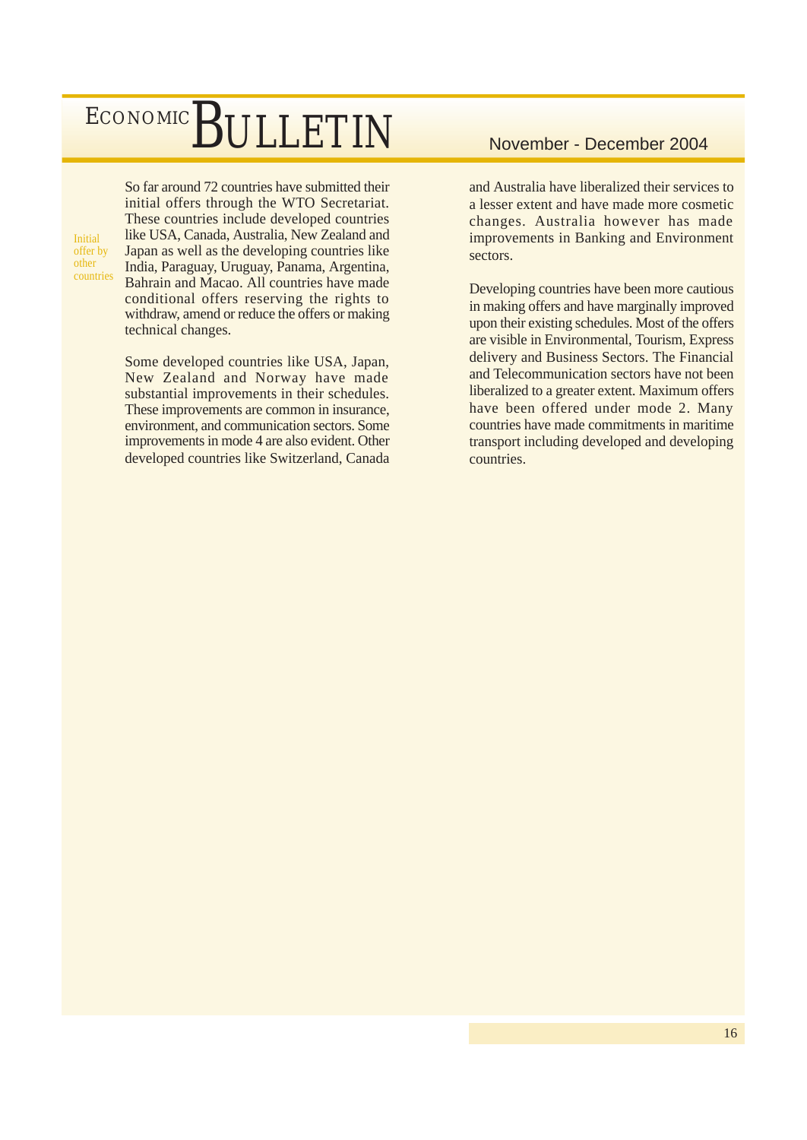Initial offer by other countries So far around 72 countries have submitted their initial offers through the WTO Secretariat. These countries include developed countries like USA, Canada, Australia, New Zealand and Japan as well as the developing countries like India, Paraguay, Uruguay, Panama, Argentina, Bahrain and Macao. All countries have made conditional offers reserving the rights to withdraw, amend or reduce the offers or making technical changes.

Some developed countries like USA, Japan, New Zealand and Norway have made substantial improvements in their schedules. These improvements are common in insurance, environment, and communication sectors. Some improvements in mode 4 are also evident. Other developed countries like Switzerland, Canada

and Australia have liberalized their services to a lesser extent and have made more cosmetic changes. Australia however has made improvements in Banking and Environment sectors.

Developing countries have been more cautious in making offers and have marginally improved upon their existing schedules. Most of the offers are visible in Environmental, Tourism, Express delivery and Business Sectors. The Financial and Telecommunication sectors have not been liberalized to a greater extent. Maximum offers have been offered under mode 2. Many countries have made commitments in maritime transport including developed and developing countries.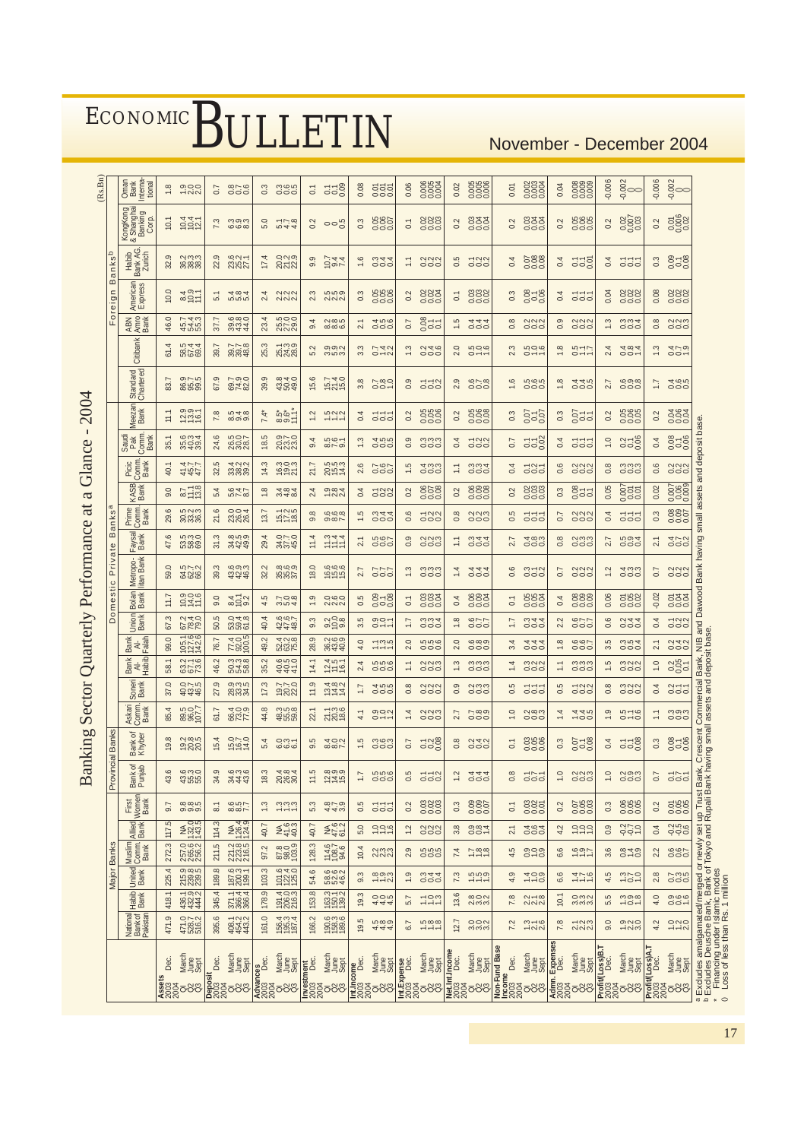| ECONOMIC BULLETIN |  |  |  |
|-------------------|--|--|--|
|-------------------|--|--|--|

### November - December 2004

17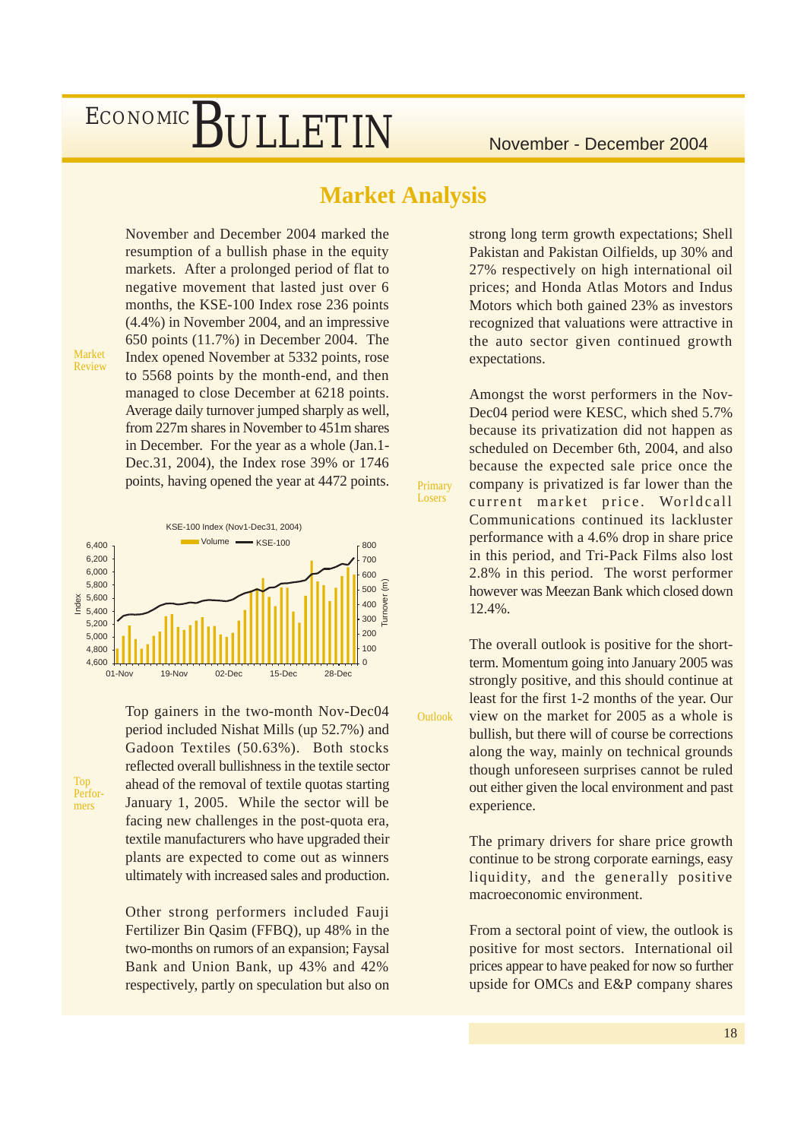### **Market Analysis**

Primary Losers

Outlook

November and December 2004 marked the resumption of a bullish phase in the equity markets. After a prolonged period of flat to negative movement that lasted just over 6 months, the KSE-100 Index rose 236 points (4.4%) in November 2004, and an impressive 650 points (11.7%) in December 2004. The Index opened November at 5332 points, rose to 5568 points by the month-end, and then managed to close December at 6218 points. Average daily turnover jumped sharply as well, from 227m shares in November to 451m shares in December. For the year as a whole (Jan.1- Dec.31, 2004), the Index rose 39% or 1746 points, having opened the year at 4472 points.

Market Review

Top Performers

KSE-100 Index (Nov1-Dec31, 2004) 4,600 4,800 5,000 5,200 5,400 5,600 5,800 6,000 6,200 6,400  $\frac{85}{2}$  5,400<br>
5,200<br>
4,800<br>
4,600<br>
4,600<br>
01-Nov 19-Nov 02-Dec 15-Dec 28-Dec  $\Omega$  $100$ 200 300 400 500 600 700 800 Turnover (m)  $\blacksquare$  Volume  $\blacksquare$  KSE-100

> Top gainers in the two-month Nov-Dec04 period included Nishat Mills (up 52.7%) and Gadoon Textiles (50.63%). Both stocks reflected overall bullishness in the textile sector ahead of the removal of textile quotas starting January 1, 2005. While the sector will be facing new challenges in the post-quota era, textile manufacturers who have upgraded their plants are expected to come out as winners ultimately with increased sales and production.

> Other strong performers included Fauji Fertilizer Bin Qasim (FFBQ), up 48% in the two-months on rumors of an expansion; Faysal Bank and Union Bank, up 43% and 42% respectively, partly on speculation but also on

strong long term growth expectations; Shell Pakistan and Pakistan Oilfields, up 30% and 27% respectively on high international oil prices; and Honda Atlas Motors and Indus Motors which both gained 23% as investors recognized that valuations were attractive in the auto sector given continued growth expectations.

Amongst the worst performers in the Nov-Dec04 period were KESC, which shed 5.7% because its privatization did not happen as scheduled on December 6th, 2004, and also because the expected sale price once the company is privatized is far lower than the current market price. Worldcall Communications continued its lackluster performance with a 4.6% drop in share price in this period, and Tri-Pack Films also lost 2.8% in this period. The worst performer however was Meezan Bank which closed down 12.4%.

The overall outlook is positive for the shortterm. Momentum going into January 2005 was strongly positive, and this should continue at least for the first 1-2 months of the year. Our view on the market for 2005 as a whole is bullish, but there will of course be corrections along the way, mainly on technical grounds though unforeseen surprises cannot be ruled out either given the local environment and past experience.

The primary drivers for share price growth continue to be strong corporate earnings, easy liquidity, and the generally positive macroeconomic environment.

From a sectoral point of view, the outlook is positive for most sectors. International oil prices appear to have peaked for now so further upside for OMCs and E&P company shares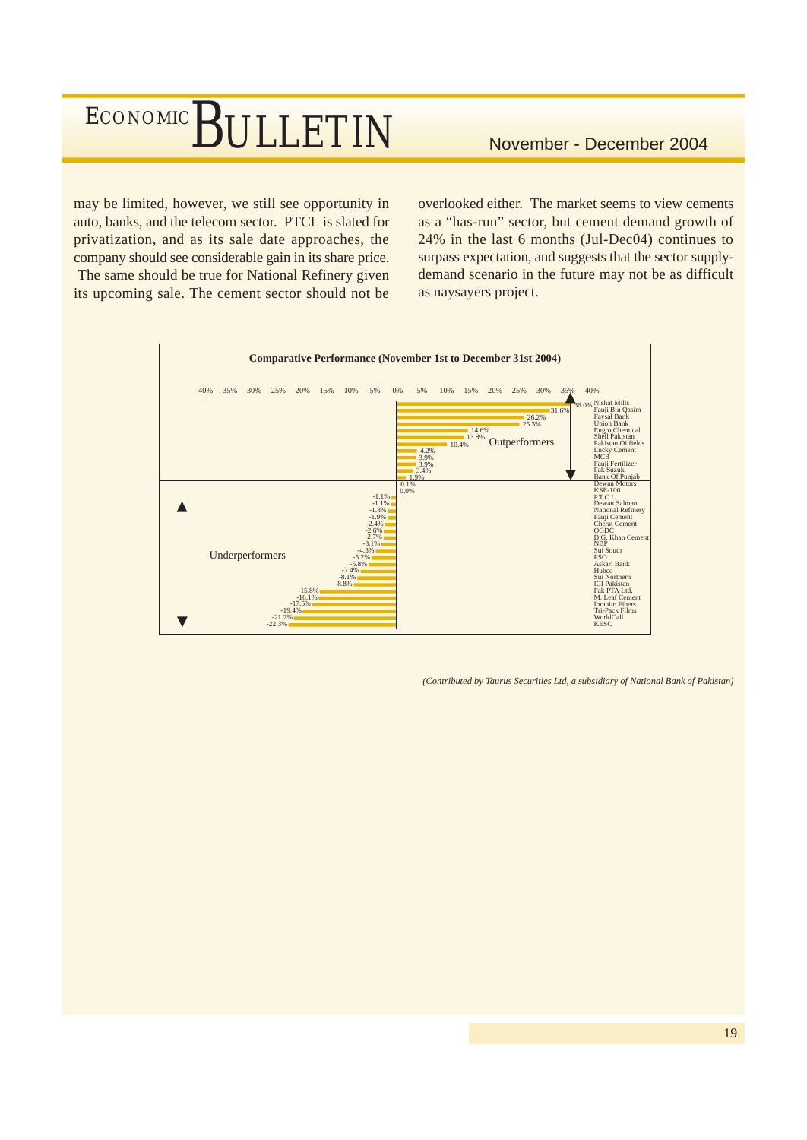may be limited, however, we still see opportunity in auto, banks, and the telecom sector. PTCL is slated for privatization, and as its sale date approaches, the company should see considerable gain in its share price. The same should be true for National Refinery given its upcoming sale. The cement sector should not be overlooked either. The market seems to view cements as a "has-run" sector, but cement demand growth of 24% in the last 6 months (Jul-Dec04) continues to surpass expectation, and suggests that the sector supplydemand scenario in the future may not be as difficult as naysayers project.



*(Contributed by Taurus Securities Ltd, a subsidiary of National Bank of Pakistan)*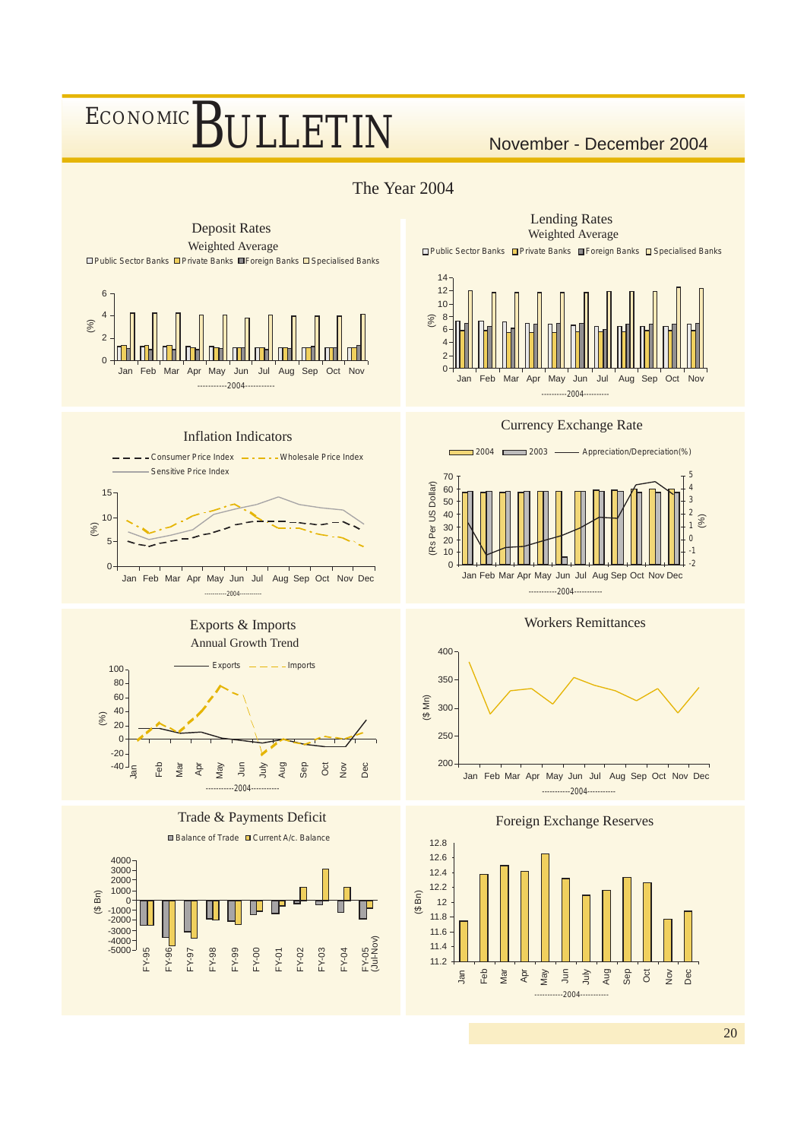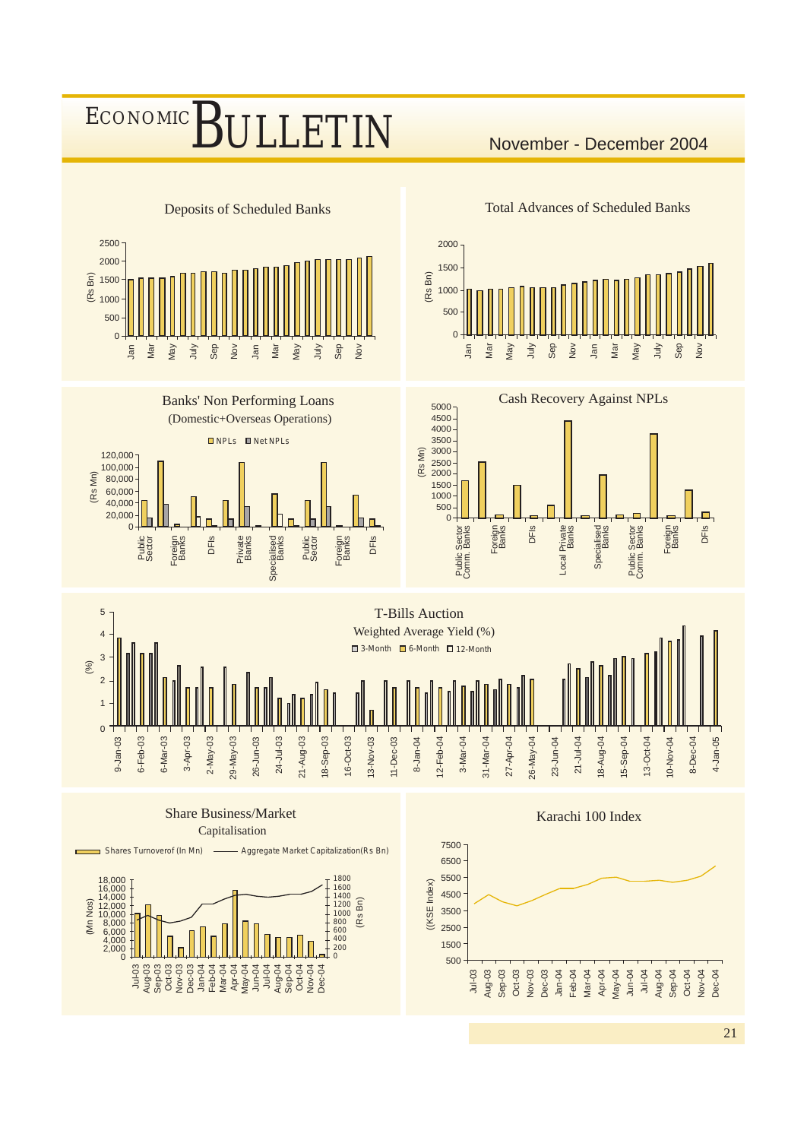### BULLETIN November - December 2004 ECONOMIC

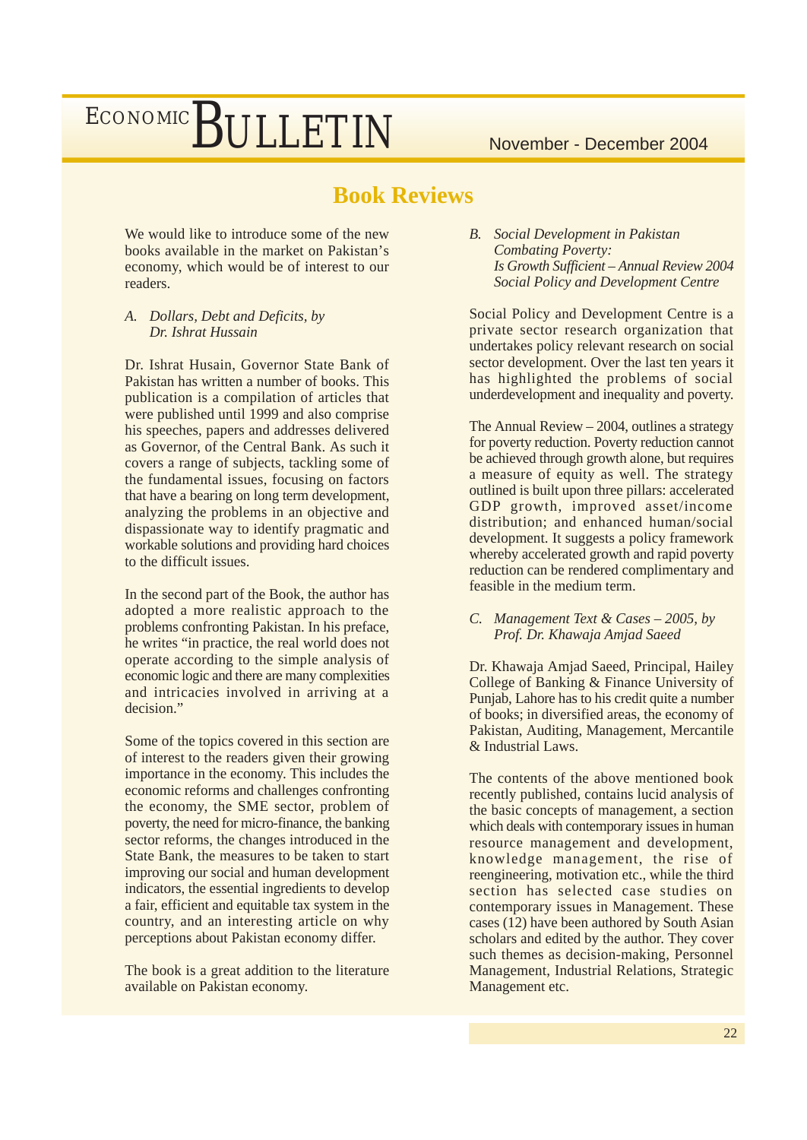### **Book Reviews**

We would like to introduce some of the new books available in the market on Pakistan's economy, which would be of interest to our readers.

*A. Dollars, Debt and Deficits, by Dr. Ishrat Hussain*

Dr. Ishrat Husain, Governor State Bank of Pakistan has written a number of books. This publication is a compilation of articles that were published until 1999 and also comprise his speeches, papers and addresses delivered as Governor, of the Central Bank. As such it covers a range of subjects, tackling some of the fundamental issues, focusing on factors that have a bearing on long term development, analyzing the problems in an objective and dispassionate way to identify pragmatic and workable solutions and providing hard choices to the difficult issues.

In the second part of the Book, the author has adopted a more realistic approach to the problems confronting Pakistan. In his preface, he writes "in practice, the real world does not operate according to the simple analysis of economic logic and there are many complexities and intricacies involved in arriving at a decision."

Some of the topics covered in this section are of interest to the readers given their growing importance in the economy. This includes the economic reforms and challenges confronting the economy, the SME sector, problem of poverty, the need for micro-finance, the banking sector reforms, the changes introduced in the State Bank, the measures to be taken to start improving our social and human development indicators, the essential ingredients to develop a fair, efficient and equitable tax system in the country, and an interesting article on why perceptions about Pakistan economy differ.

The book is a great addition to the literature available on Pakistan economy.

*B. Social Development in Pakistan Combating Poverty: Is Growth Sufficient – Annual Review 2004 Social Policy and Development Centre*

Social Policy and Development Centre is a private sector research organization that undertakes policy relevant research on social sector development. Over the last ten years it has highlighted the problems of social underdevelopment and inequality and poverty.

The Annual Review – 2004, outlines a strategy for poverty reduction. Poverty reduction cannot be achieved through growth alone, but requires a measure of equity as well. The strategy outlined is built upon three pillars: accelerated GDP growth, improved asset/income distribution; and enhanced human/social development. It suggests a policy framework whereby accelerated growth and rapid poverty reduction can be rendered complimentary and feasible in the medium term.

*C. Management Text & Cases – 2005, by Prof. Dr. Khawaja Amjad Saeed*

Dr. Khawaja Amjad Saeed, Principal, Hailey College of Banking & Finance University of Punjab, Lahore has to his credit quite a number of books; in diversified areas, the economy of Pakistan, Auditing, Management, Mercantile & Industrial Laws.

The contents of the above mentioned book recently published, contains lucid analysis of the basic concepts of management, a section which deals with contemporary issues in human resource management and development, knowledge management, the rise of reengineering, motivation etc., while the third section has selected case studies on contemporary issues in Management. These cases (12) have been authored by South Asian scholars and edited by the author. They cover such themes as decision-making, Personnel Management, Industrial Relations, Strategic Management etc.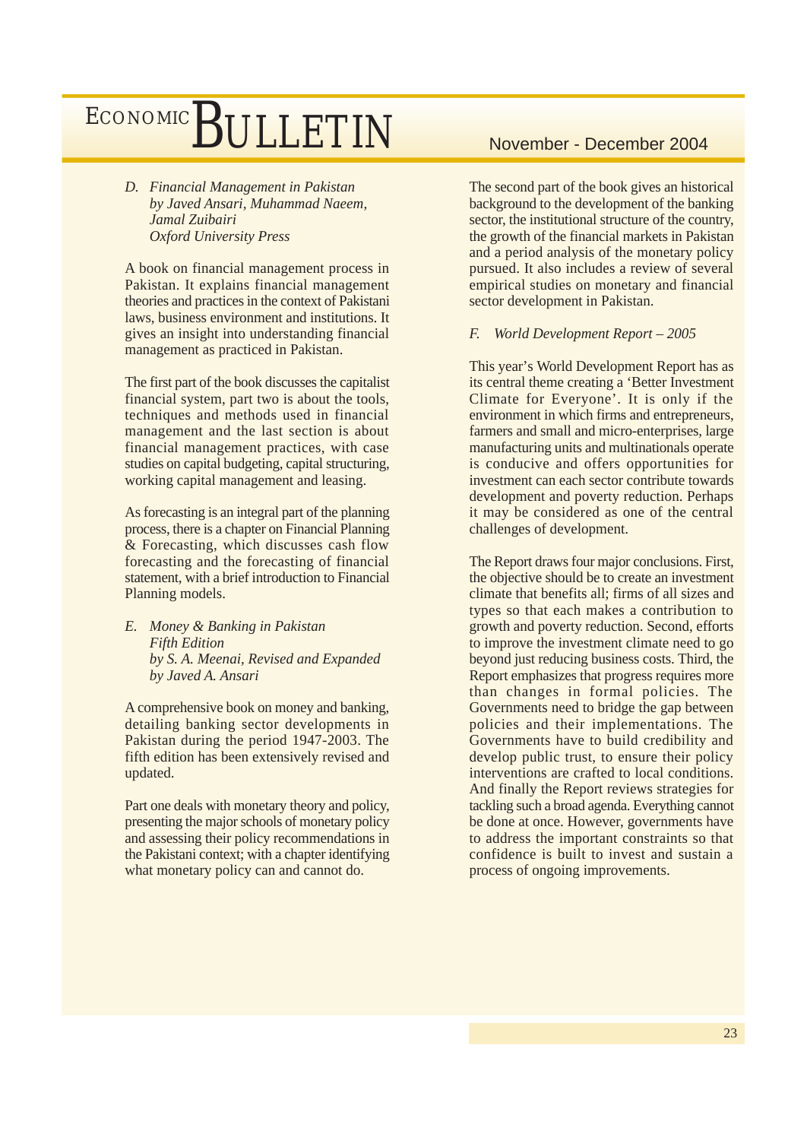*D. Financial Management in Pakistan by Javed Ansari, Muhammad Naeem, Jamal Zuibairi Oxford University Press*

A book on financial management process in Pakistan. It explains financial management theories and practices in the context of Pakistani laws, business environment and institutions. It gives an insight into understanding financial management as practiced in Pakistan.

The first part of the book discusses the capitalist financial system, part two is about the tools, techniques and methods used in financial management and the last section is about financial management practices, with case studies on capital budgeting, capital structuring, working capital management and leasing.

As forecasting is an integral part of the planning process, there is a chapter on Financial Planning & Forecasting, which discusses cash flow forecasting and the forecasting of financial statement, with a brief introduction to Financial Planning models.

*E. Money & Banking in Pakistan Fifth Edition by S. A. Meenai, Revised and Expanded by Javed A. Ansari*

A comprehensive book on money and banking, detailing banking sector developments in Pakistan during the period 1947-2003. The fifth edition has been extensively revised and updated.

Part one deals with monetary theory and policy, presenting the major schools of monetary policy and assessing their policy recommendations in the Pakistani context; with a chapter identifying what monetary policy can and cannot do.

The second part of the book gives an historical background to the development of the banking sector, the institutional structure of the country, the growth of the financial markets in Pakistan and a period analysis of the monetary policy pursued. It also includes a review of several empirical studies on monetary and financial sector development in Pakistan.

### *F. World Development Report – 2005*

This year's World Development Report has as its central theme creating a 'Better Investment Climate for Everyone'. It is only if the environment in which firms and entrepreneurs, farmers and small and micro-enterprises, large manufacturing units and multinationals operate is conducive and offers opportunities for investment can each sector contribute towards development and poverty reduction. Perhaps it may be considered as one of the central challenges of development.

The Report draws four major conclusions. First, the objective should be to create an investment climate that benefits all; firms of all sizes and types so that each makes a contribution to growth and poverty reduction. Second, efforts to improve the investment climate need to go beyond just reducing business costs. Third, the Report emphasizes that progress requires more than changes in formal policies. The Governments need to bridge the gap between policies and their implementations. The Governments have to build credibility and develop public trust, to ensure their policy interventions are crafted to local conditions. And finally the Report reviews strategies for tackling such a broad agenda. Everything cannot be done at once. However, governments have to address the important constraints so that confidence is built to invest and sustain a process of ongoing improvements.